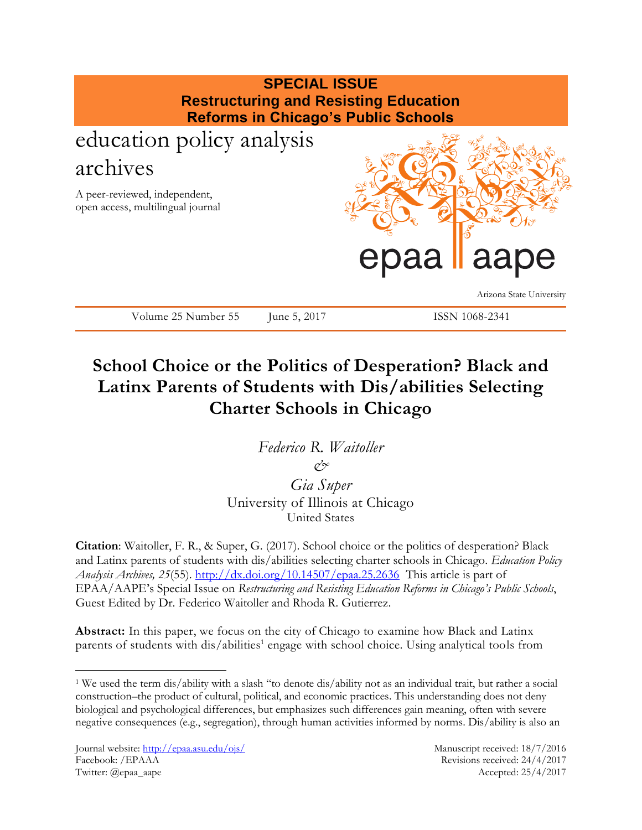

# **School Choice or the Politics of Desperation? Black and Latinx Parents of Students with Dis/abilities Selecting Charter Schools in Chicago**

*Federico R. Waitoller &*

*Gia Super* University of Illinois at Chicago United States

**Citation**: Waitoller, F. R., & Super, G. (2017). School choice or the politics of desperation? Black and Latinx parents of students with dis/abilities selecting charter schools in Chicago. *Education Policy Analysis Archives, 25*(55).<http://dx.doi.org/10.14507/epaa.25.2636> This article is part of EPAA/AAPE's Special Issue on *Restructuring and Resisting Education Reforms in Chicago's Public Schools*, Guest Edited by Dr. Federico Waitoller and Rhoda R. Gutierrez.

**Abstract:** In this paper, we focus on the city of Chicago to examine how Black and Latinx parents of students with dis/abilities<sup>1</sup> engage with school choice. Using analytical tools from

 $\overline{a}$ 

<sup>1</sup> We used the term dis/ability with a slash "to denote dis/ability not as an individual trait, but rather a social construction–the product of cultural, political, and economic practices. This understanding does not deny biological and psychological differences, but emphasizes such differences gain meaning, often with severe negative consequences (e.g., segregation), through human activities informed by norms. Dis/ability is also an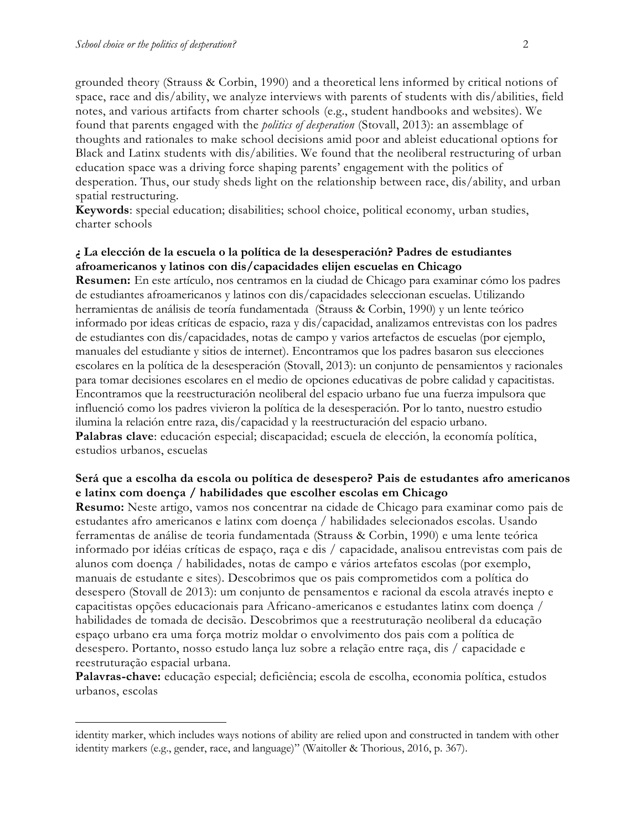$\overline{a}$ 

grounded theory (Strauss & Corbin, 1990) and a theoretical lens informed by critical notions of space, race and dis/ability, we analyze interviews with parents of students with dis/abilities, field notes, and various artifacts from charter schools (e.g., student handbooks and websites). We found that parents engaged with the *politics of desperation* (Stovall, 2013): an assemblage of thoughts and rationales to make school decisions amid poor and ableist educational options for Black and Latinx students with dis/abilities. We found that the neoliberal restructuring of urban education space was a driving force shaping parents' engagement with the politics of desperation. Thus, our study sheds light on the relationship between race, dis/ability, and urban spatial restructuring.

**Keywords**: special education; disabilities; school choice, political economy, urban studies, charter schools

# **¿ La elección de la escuela o la política de la desesperación? Padres de estudiantes afroamericanos y latinos con dis/capacidades elijen escuelas en Chicago**

**Resumen:** En este artículo, nos centramos en la ciudad de Chicago para examinar cómo los padres de estudiantes afroamericanos y latinos con dis/capacidades seleccionan escuelas. Utilizando herramientas de análisis de teoría fundamentada (Strauss & Corbin, 1990) y un lente teórico informado por ideas críticas de espacio, raza y dis/capacidad, analizamos entrevistas con los padres de estudiantes con dis/capacidades, notas de campo y varios artefactos de escuelas (por ejemplo, manuales del estudiante y sitios de internet). Encontramos que los padres basaron sus elecciones escolares en la política de la desesperación (Stovall, 2013): un conjunto de pensamientos y racionales para tomar decisiones escolares en el medio de opciones educativas de pobre calidad y capacitistas. Encontramos que la reestructuración neoliberal del espacio urbano fue una fuerza impulsora que influenció como los padres vivieron la política de la desesperación. Por lo tanto, nuestro estudio ilumina la relación entre raza, dis/capacidad y la reestructuración del espacio urbano. **Palabras clave**: educación especial; discapacidad; escuela de elección, la economía política, estudios urbanos, escuelas

# **Será que a escolha da escola ou política de desespero? Pais de estudantes afro americanos e latinx com doença / habilidades que escolher escolas em Chicago**

**Resumo:** Neste artigo, vamos nos concentrar na cidade de Chicago para examinar como pais de estudantes afro americanos e latinx com doença / habilidades selecionados escolas. Usando ferramentas de análise de teoria fundamentada (Strauss & Corbin, 1990) e uma lente teórica informado por idéias críticas de espaço, raça e dis / capacidade, analisou entrevistas com pais de alunos com doença / habilidades, notas de campo e vários artefatos escolas (por exemplo, manuais de estudante e sites). Descobrimos que os pais comprometidos com a política do desespero (Stovall de 2013): um conjunto de pensamentos e racional da escola através inepto e capacitistas opções educacionais para Africano-americanos e estudantes latinx com doença / habilidades de tomada de decisão. Descobrimos que a reestruturação neoliberal da educação espaço urbano era uma força motriz moldar o envolvimento dos pais com a política de desespero. Portanto, nosso estudo lança luz sobre a relação entre raça, dis / capacidade e reestruturação espacial urbana.

Palavras-chave: educação especial; deficiência; escola de escolha, economia política, estudos urbanos, escolas

identity marker, which includes ways notions of ability are relied upon and constructed in tandem with other identity markers (e.g., gender, race, and language)" (Waitoller & Thorious, 2016, p. 367).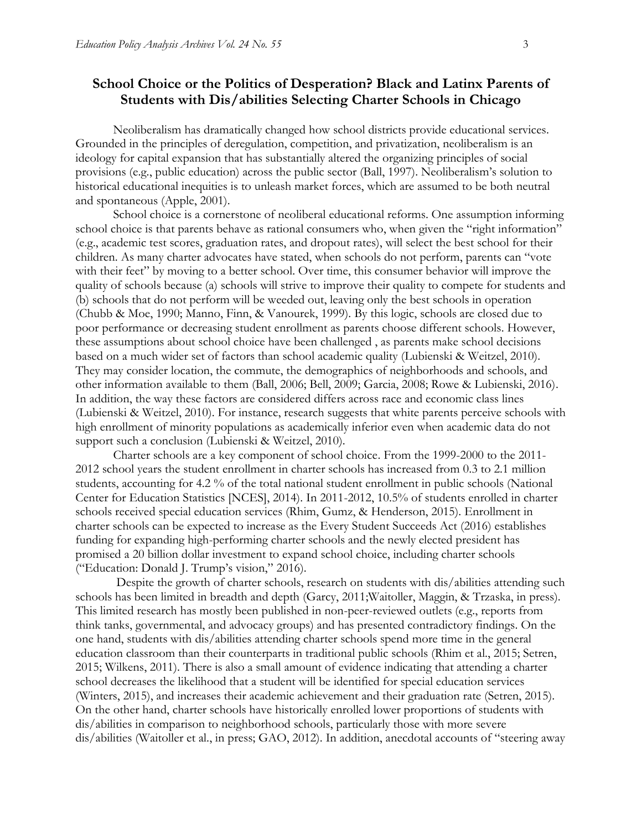# **School Choice or the Politics of Desperation? Black and Latinx Parents of Students with Dis/abilities Selecting Charter Schools in Chicago**

Neoliberalism has dramatically changed how school districts provide educational services. Grounded in the principles of deregulation, competition, and privatization, neoliberalism is an ideology for capital expansion that has substantially altered the organizing principles of social provisions (e.g., public education) across the public sector (Ball, 1997). Neoliberalism's solution to historical educational inequities is to unleash market forces, which are assumed to be both neutral and spontaneous (Apple, 2001).

School choice is a cornerstone of neoliberal educational reforms. One assumption informing school choice is that parents behave as rational consumers who, when given the "right information" (e.g., academic test scores, graduation rates, and dropout rates), will select the best school for their children. As many charter advocates have stated, when schools do not perform, parents can "vote with their feet" by moving to a better school. Over time, this consumer behavior will improve the quality of schools because (a) schools will strive to improve their quality to compete for students and (b) schools that do not perform will be weeded out, leaving only the best schools in operation (Chubb & Moe, 1990; Manno, Finn, & Vanourek, 1999). By this logic, schools are closed due to poor performance or decreasing student enrollment as parents choose different schools. However, these assumptions about school choice have been challenged , as parents make school decisions based on a much wider set of factors than school academic quality (Lubienski & Weitzel, 2010). They may consider location, the commute, the demographics of neighborhoods and schools, and other information available to them (Ball, 2006; Bell, 2009; Garcia, 2008; Rowe & Lubienski, 2016). In addition, the way these factors are considered differs across race and economic class lines (Lubienski & Weitzel, 2010). For instance, research suggests that white parents perceive schools with high enrollment of minority populations as academically inferior even when academic data do not support such a conclusion (Lubienski & Weitzel, 2010).

Charter schools are a key component of school choice. From the 1999-2000 to the 2011- 2012 school years the student enrollment in charter schools has increased from 0.3 to 2.1 million students, accounting for 4.2 % of the total national student enrollment in public schools (National Center for Education Statistics [NCES], 2014). In 2011-2012, 10.5% of students enrolled in charter schools received special education services (Rhim, Gumz, & Henderson, 2015). Enrollment in charter schools can be expected to increase as the Every Student Succeeds Act (2016) establishes funding for expanding high-performing charter schools and the newly elected president has promised a 20 billion dollar investment to expand school choice, including charter schools ("Education: Donald J. Trump's vision," 2016).

Despite the growth of charter schools, research on students with dis/abilities attending such schools has been limited in breadth and depth (Garcy, 2011;Waitoller, Maggin, & Trzaska, in press). This limited research has mostly been published in non-peer-reviewed outlets (e.g., reports from think tanks, governmental, and advocacy groups) and has presented contradictory findings. On the one hand, students with dis/abilities attending charter schools spend more time in the general education classroom than their counterparts in traditional public schools (Rhim et al., 2015; Setren, 2015; Wilkens, 2011). There is also a small amount of evidence indicating that attending a charter school decreases the likelihood that a student will be identified for special education services (Winters, 2015), and increases their academic achievement and their graduation rate (Setren, 2015). On the other hand, charter schools have historically enrolled lower proportions of students with dis/abilities in comparison to neighborhood schools, particularly those with more severe dis/abilities (Waitoller et al., in press; GAO, 2012). In addition, anecdotal accounts of "steering away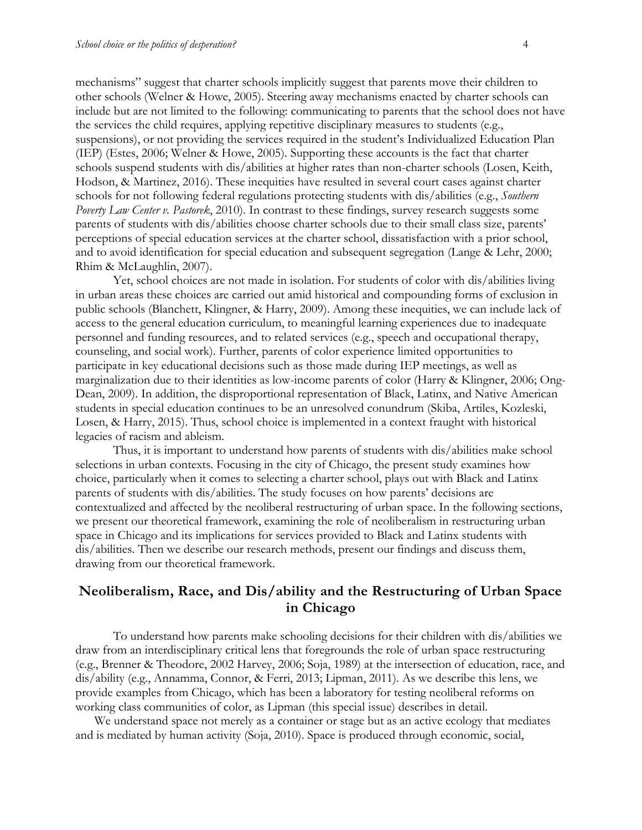mechanisms" suggest that charter schools implicitly suggest that parents move their children to other schools (Welner & Howe, 2005). Steering away mechanisms enacted by charter schools can include but are not limited to the following: communicating to parents that the school does not have the services the child requires, applying repetitive disciplinary measures to students (e.g., suspensions), or not providing the services required in the student's Individualized Education Plan (IEP) (Estes, 2006; Welner & Howe, 2005). Supporting these accounts is the fact that charter schools suspend students with dis/abilities at higher rates than non-charter schools (Losen, Keith, Hodson, & Martinez, 2016). These inequities have resulted in several court cases against charter schools for not following federal regulations protecting students with dis/abilities (e.g., *Southern Poverty Law Center v. Pastorek*, 2010). In contrast to these findings, survey research suggests some parents of students with dis/abilities choose charter schools due to their small class size, parents' perceptions of special education services at the charter school, dissatisfaction with a prior school, and to avoid identification for special education and subsequent segregation (Lange & Lehr, 2000; Rhim & McLaughlin, 2007).

Yet, school choices are not made in isolation. For students of color with dis/abilities living in urban areas these choices are carried out amid historical and compounding forms of exclusion in public schools (Blanchett, Klingner, & Harry, 2009). Among these inequities, we can include lack of access to the general education curriculum, to meaningful learning experiences due to inadequate personnel and funding resources, and to related services (e.g., speech and occupational therapy, counseling, and social work). Further, parents of color experience limited opportunities to participate in key educational decisions such as those made during IEP meetings, as well as marginalization due to their identities as low-income parents of color (Harry & Klingner, 2006; Ong-Dean, 2009). In addition, the disproportional representation of Black, Latinx, and Native American students in special education continues to be an unresolved conundrum (Skiba, Artiles, Kozleski, Losen, & Harry, 2015). Thus, school choice is implemented in a context fraught with historical legacies of racism and ableism.

Thus, it is important to understand how parents of students with dis/abilities make school selections in urban contexts. Focusing in the city of Chicago, the present study examines how choice, particularly when it comes to selecting a charter school, plays out with Black and Latinx parents of students with dis/abilities. The study focuses on how parents' decisions are contextualized and affected by the neoliberal restructuring of urban space. In the following sections, we present our theoretical framework, examining the role of neoliberalism in restructuring urban space in Chicago and its implications for services provided to Black and Latinx students with dis/abilities. Then we describe our research methods, present our findings and discuss them, drawing from our theoretical framework.

# **Neoliberalism, Race, and Dis/ability and the Restructuring of Urban Space in Chicago**

To understand how parents make schooling decisions for their children with dis/abilities we draw from an interdisciplinary critical lens that foregrounds the role of urban space restructuring (e.g., Brenner & Theodore, 2002 Harvey, 2006; Soja, 1989) at the intersection of education, race, and dis/ability (e.g., Annamma, Connor, & Ferri, 2013; Lipman, 2011). As we describe this lens, we provide examples from Chicago, which has been a laboratory for testing neoliberal reforms on working class communities of color, as Lipman (this special issue) describes in detail.

We understand space not merely as a container or stage but as an active ecology that mediates and is mediated by human activity (Soja, 2010). Space is produced through economic, social,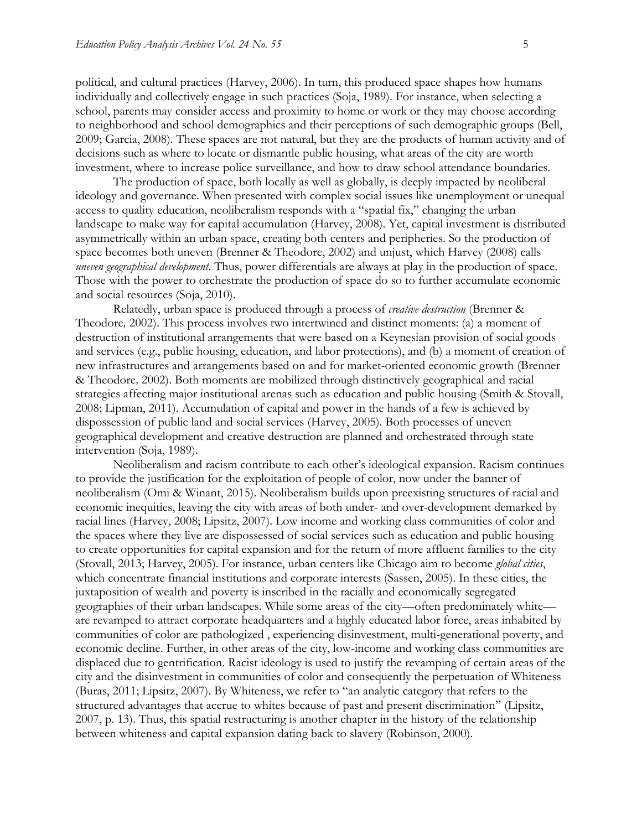political, and cultural practices (Harvey, 2006). In turn, this produced space shapes how humans individually and collectively engage in such practices (Soja, 1989). For instance, when selecting a school, parents may consider access and proximity to home or work or they may choose according to neighborhood and school demographics and their perceptions of such demographic groups (Bell, 2009; Garcia, 2008). These spaces are not natural, but they are the products of human activity and of decisions such as where to locate or dismantle public housing, what areas of the city are worth investment, where to increase police surveillance, and how to draw school attendance boundaries.

The production of space, both locally as well as globally, is deeply impacted by neoliberal ideology and governance. When presented with complex social issues like unemployment or unequal access to quality education, neoliberalism responds with a "spatial fix," changing the urban landscape to make way for capital accumulation (Harvey, 2008). Yet, capital investment is distributed asymmetrically within an urban space, creating both centers and peripheries. So the production of space becomes both uneven (Brenner & Theodore, 2002) and unjust, which Harvey (2008) calls *uneven geographical development*. Thus, power differentials are always at play in the production of space. Those with the power to orchestrate the production of space do so to further accumulate economic and social resources (Soja, 2010).

Relatedly, urban space is produced through a process of *creative destruction* (Brenner & Theodore*,* 2002). This process involves two intertwined and distinct moments: (a) a moment of destruction of institutional arrangements that were based on a Keynesian provision of social goods and services (e.g., public housing, education, and labor protections), and (b) a moment of creation of new infrastructures and arrangements based on and for market-oriented economic growth (Brenner & Theodore*,* 2002). Both moments are mobilized through distinctively geographical and racial strategies affecting major institutional arenas such as education and public housing (Smith & Stovall, 2008; Lipman, 2011). Accumulation of capital and power in the hands of a few is achieved by dispossession of public land and social services (Harvey, 2005). Both processes of uneven geographical development and creative destruction are planned and orchestrated through state intervention (Soja, 1989).

Neoliberalism and racism contribute to each other's ideological expansion. Racism continues to provide the justification for the exploitation of people of color, now under the banner of neoliberalism (Omi & Winant, 2015). Neoliberalism builds upon preexisting structures of racial and economic inequities, leaving the city with areas of both under- and over-development demarked by racial lines (Harvey, 2008; Lipsitz, 2007). Low income and working class communities of color and the spaces where they live are dispossessed of social services such as education and public housing to create opportunities for capital expansion and for the return of more affluent families to the city (Stovall, 2013; Harvey, 2005). For instance, urban centers like Chicago aim to become *global cities*, which concentrate financial institutions and corporate interests (Sassen, 2005). In these cities, the juxtaposition of wealth and poverty is inscribed in the racially and economically segregated geographies of their urban landscapes. While some areas of the city—often predominately white are revamped to attract corporate headquarters and a highly educated labor force, areas inhabited by communities of color are pathologized , experiencing disinvestment, multi-generational poverty, and economic decline. Further, in other areas of the city, low-income and working class communities are displaced due to gentrification. Racist ideology is used to justify the revamping of certain areas of the city and the disinvestment in communities of color and consequently the perpetuation of Whiteness (Buras, 2011; Lipsitz, 2007). By Whiteness, we refer to "an analytic category that refers to the structured advantages that accrue to whites because of past and present discrimination" (Lipsitz, 2007, p. 13). Thus, this spatial restructuring is another chapter in the history of the relationship between whiteness and capital expansion dating back to slavery (Robinson, 2000).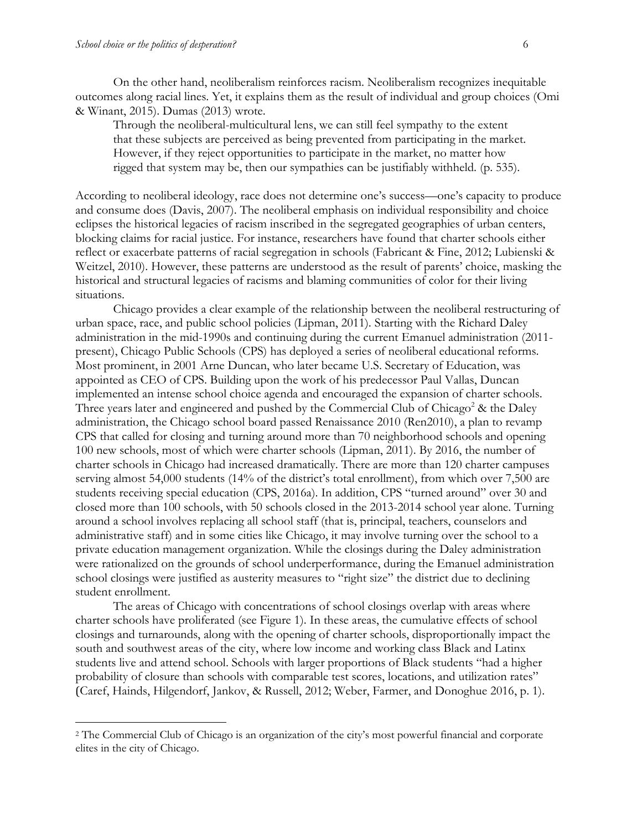$\overline{a}$ 

On the other hand, neoliberalism reinforces racism. Neoliberalism recognizes inequitable outcomes along racial lines. Yet, it explains them as the result of individual and group choices (Omi & Winant, 2015). Dumas (2013) wrote.

Through the neoliberal-multicultural lens, we can still feel sympathy to the extent that these subjects are perceived as being prevented from participating in the market. However, if they reject opportunities to participate in the market, no matter how rigged that system may be, then our sympathies can be justifiably withheld. (p. 535).

According to neoliberal ideology, race does not determine one's success—one's capacity to produce and consume does (Davis, 2007). The neoliberal emphasis on individual responsibility and choice eclipses the historical legacies of racism inscribed in the segregated geographies of urban centers, blocking claims for racial justice. For instance, researchers have found that charter schools either reflect or exacerbate patterns of racial segregation in schools (Fabricant & Fine, 2012; Lubienski & Weitzel, 2010). However, these patterns are understood as the result of parents' choice, masking the historical and structural legacies of racisms and blaming communities of color for their living situations.

Chicago provides a clear example of the relationship between the neoliberal restructuring of urban space, race, and public school policies (Lipman, 2011). Starting with the Richard Daley administration in the mid-1990s and continuing during the current Emanuel administration (2011 present), Chicago Public Schools (CPS) has deployed a series of neoliberal educational reforms. Most prominent, in 2001 Arne Duncan, who later became U.S. Secretary of Education, was appointed as CEO of CPS. Building upon the work of his predecessor Paul Vallas, Duncan implemented an intense school choice agenda and encouraged the expansion of charter schools. Three years later and engineered and pushed by the Commercial Club of Chicago<sup>2</sup> & the Daley administration, the Chicago school board passed Renaissance 2010 (Ren2010), a plan to revamp CPS that called for closing and turning around more than 70 neighborhood schools and opening 100 new schools, most of which were charter schools (Lipman, 2011). By 2016, the number of charter schools in Chicago had increased dramatically. There are more than 120 charter campuses serving almost 54,000 students (14% of the district's total enrollment), from which over 7,500 are students receiving special education (CPS, 2016a). In addition, CPS "turned around" over 30 and closed more than 100 schools, with 50 schools closed in the 2013-2014 school year alone. Turning around a school involves replacing all school staff (that is, principal, teachers, counselors and administrative staff) and in some cities like Chicago, it may involve turning over the school to a private education management organization. While the closings during the Daley administration were rationalized on the grounds of school underperformance, during the Emanuel administration school closings were justified as austerity measures to "right size" the district due to declining student enrollment.

The areas of Chicago with concentrations of school closings overlap with areas where charter schools have proliferated (see Figure 1). In these areas, the cumulative effects of school closings and turnarounds, along with the opening of charter schools, disproportionally impact the south and southwest areas of the city, where low income and working class Black and Latinx students live and attend school. Schools with larger proportions of Black students "had a higher probability of closure than schools with comparable test scores, locations, and utilization rates" (Caref, Hainds, Hilgendorf, Jankov, & Russell, 2012; Weber, Farmer, and Donoghue 2016, p. 1).

<sup>2</sup> The Commercial Club of Chicago is an organization of the city's most powerful financial and corporate elites in the city of Chicago.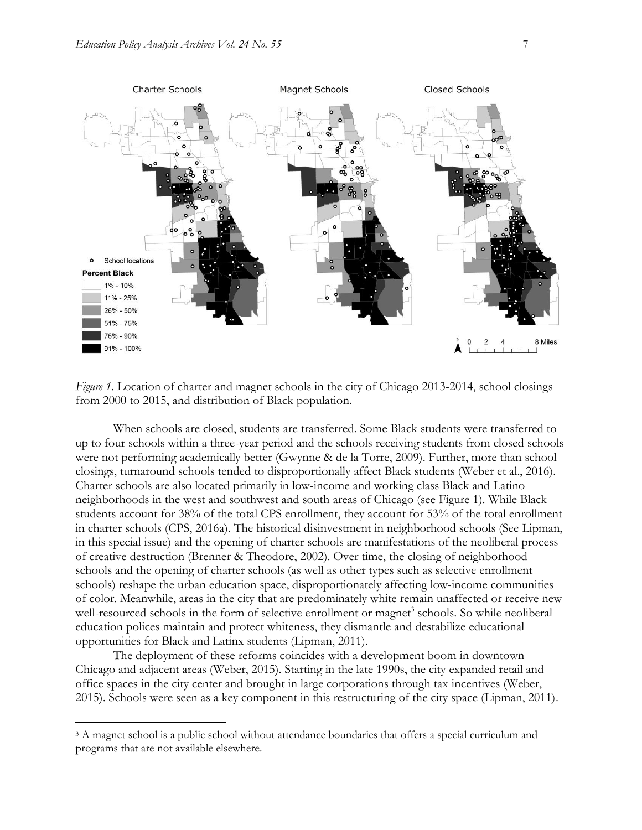

*Figure 1.* Location of charter and magnet schools in the city of Chicago 2013-2014, school closings from 2000 to 2015, and distribution of Black population.

When schools are closed, students are transferred. Some Black students were transferred to up to four schools within a three-year period and the schools receiving students from closed schools were not performing academically better (Gwynne & de la Torre, 2009). Further, more than school closings, turnaround schools tended to disproportionally affect Black students (Weber et al., 2016). Charter schools are also located primarily in low-income and working class Black and Latino neighborhoods in the west and southwest and south areas of Chicago (see Figure 1). While Black students account for 38% of the total CPS enrollment, they account for 53% of the total enrollment in charter schools (CPS, 2016a). The historical disinvestment in neighborhood schools (See Lipman, in this special issue) and the opening of charter schools are manifestations of the neoliberal process of creative destruction (Brenner & Theodore, 2002). Over time, the closing of neighborhood schools and the opening of charter schools (as well as other types such as selective enrollment schools) reshape the urban education space, disproportionately affecting low-income communities of color. Meanwhile, areas in the city that are predominately white remain unaffected or receive new well-resourced schools in the form of selective enrollment or magnet<sup>3</sup> schools. So while neoliberal education polices maintain and protect whiteness, they dismantle and destabilize educational opportunities for Black and Latinx students (Lipman, 2011).

The deployment of these reforms coincides with a development boom in downtown Chicago and adjacent areas (Weber, 2015). Starting in the late 1990s, the city expanded retail and office spaces in the city center and brought in large corporations through tax incentives (Weber, 2015). Schools were seen as a key component in this restructuring of the city space (Lipman, 2011).

 $\overline{a}$ 

<sup>&</sup>lt;sup>3</sup> A magnet school is a public school without attendance boundaries that offers a special curriculum and programs that are not available elsewhere.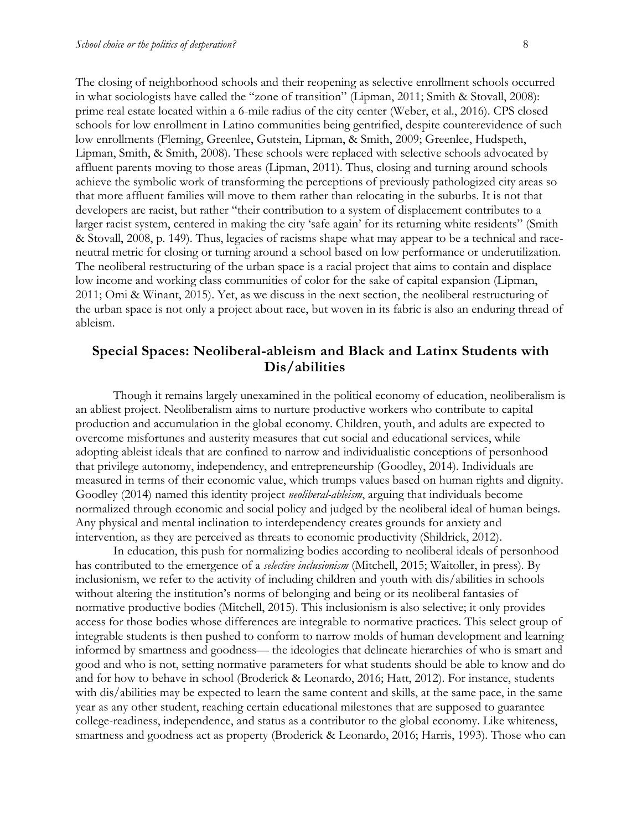The closing of neighborhood schools and their reopening as selective enrollment schools occurred in what sociologists have called the "zone of transition" (Lipman, 2011; Smith & Stovall, 2008): prime real estate located within a 6-mile radius of the city center (Weber, et al., 2016). CPS closed schools for low enrollment in Latino communities being gentrified, despite counterevidence of such low enrollments (Fleming, Greenlee, Gutstein, Lipman, & Smith, 2009; Greenlee, Hudspeth, Lipman, Smith, & Smith, 2008). These schools were replaced with selective schools advocated by affluent parents moving to those areas (Lipman, 2011). Thus, closing and turning around schools achieve the symbolic work of transforming the perceptions of previously pathologized city areas so that more affluent families will move to them rather than relocating in the suburbs. It is not that developers are racist, but rather "their contribution to a system of displacement contributes to a larger racist system, centered in making the city 'safe again' for its returning white residents" (Smith & Stovall, 2008, p. 149). Thus, legacies of racisms shape what may appear to be a technical and raceneutral metric for closing or turning around a school based on low performance or underutilization. The neoliberal restructuring of the urban space is a racial project that aims to contain and displace low income and working class communities of color for the sake of capital expansion (Lipman, 2011; Omi & Winant, 2015). Yet, as we discuss in the next section, the neoliberal restructuring of the urban space is not only a project about race, but woven in its fabric is also an enduring thread of ableism.

# **Special Spaces: Neoliberal-ableism and Black and Latinx Students with Dis/abilities**

Though it remains largely unexamined in the political economy of education, neoliberalism is an abliest project. Neoliberalism aims to nurture productive workers who contribute to capital production and accumulation in the global economy. Children, youth, and adults are expected to overcome misfortunes and austerity measures that cut social and educational services, while adopting ableist ideals that are confined to narrow and individualistic conceptions of personhood that privilege autonomy, independency, and entrepreneurship (Goodley, 2014). Individuals are measured in terms of their economic value, which trumps values based on human rights and dignity. Goodley (2014) named this identity project *neoliberal-ableism*, arguing that individuals become normalized through economic and social policy and judged by the neoliberal ideal of human beings. Any physical and mental inclination to interdependency creates grounds for anxiety and intervention, as they are perceived as threats to economic productivity (Shildrick, 2012).

In education, this push for normalizing bodies according to neoliberal ideals of personhood has contributed to the emergence of a *selective inclusionism* (Mitchell, 2015; Waitoller, in press)*.* By inclusionism, we refer to the activity of including children and youth with dis/abilities in schools without altering the institution's norms of belonging and being or its neoliberal fantasies of normative productive bodies (Mitchell, 2015). This inclusionism is also selective; it only provides access for those bodies whose differences are integrable to normative practices. This select group of integrable students is then pushed to conform to narrow molds of human development and learning informed by smartness and goodness— the ideologies that delineate hierarchies of who is smart and good and who is not, setting normative parameters for what students should be able to know and do and for how to behave in school (Broderick & Leonardo, 2016; Hatt, 2012). For instance, students with dis/abilities may be expected to learn the same content and skills, at the same pace, in the same year as any other student, reaching certain educational milestones that are supposed to guarantee college-readiness, independence, and status as a contributor to the global economy. Like whiteness, smartness and goodness act as property (Broderick & Leonardo, 2016; Harris, 1993). Those who can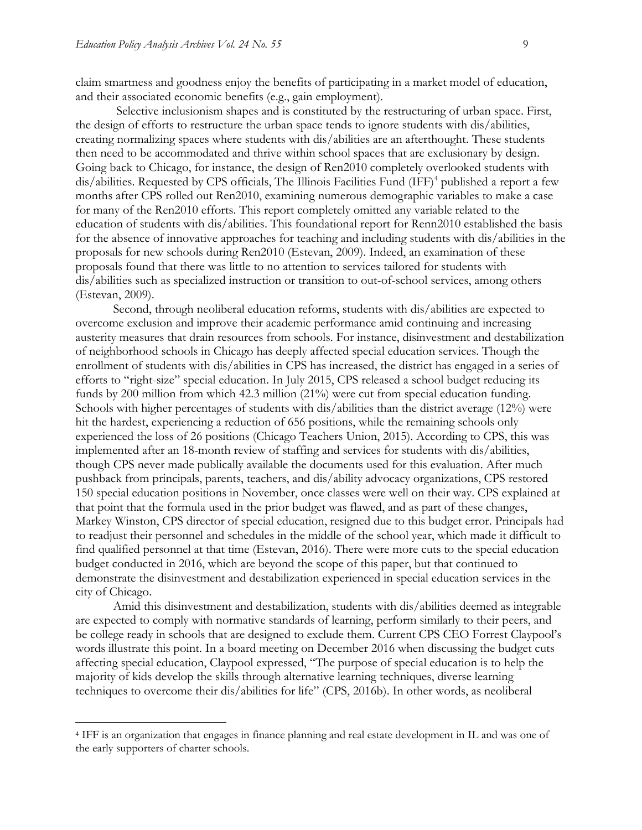$\overline{a}$ 

claim smartness and goodness enjoy the benefits of participating in a market model of education, and their associated economic benefits (e.g., gain employment).

Selective inclusionism shapes and is constituted by the restructuring of urban space. First, the design of efforts to restructure the urban space tends to ignore students with dis/abilities, creating normalizing spaces where students with dis/abilities are an afterthought. These students then need to be accommodated and thrive within school spaces that are exclusionary by design. Going back to Chicago, for instance, the design of Ren2010 completely overlooked students with dis/abilities. Requested by CPS officials, The Illinois Facilities Fund  $(IFF)^4$  published a report a few months after CPS rolled out Ren2010, examining numerous demographic variables to make a case for many of the Ren2010 efforts. This report completely omitted any variable related to the education of students with dis/abilities. This foundational report for Renn2010 established the basis for the absence of innovative approaches for teaching and including students with dis/abilities in the proposals for new schools during Ren2010 (Estevan, 2009). Indeed, an examination of these proposals found that there was little to no attention to services tailored for students with dis/abilities such as specialized instruction or transition to out-of-school services, among others (Estevan, 2009).

Second, through neoliberal education reforms, students with dis/abilities are expected to overcome exclusion and improve their academic performance amid continuing and increasing austerity measures that drain resources from schools. For instance, disinvestment and destabilization of neighborhood schools in Chicago has deeply affected special education services. Though the enrollment of students with dis/abilities in CPS has increased, the district has engaged in a series of efforts to "right-size" special education. In July 2015, CPS released a school budget reducing its funds by 200 million from which 42.3 million (21%) were cut from special education funding. Schools with higher percentages of students with dis/abilities than the district average (12%) were hit the hardest, experiencing a reduction of 656 positions, while the remaining schools only experienced the loss of 26 positions (Chicago Teachers Union, 2015). According to CPS, this was implemented after an 18-month review of staffing and services for students with dis/abilities, though CPS never made publically available the documents used for this evaluation. After much pushback from principals, parents, teachers, and dis/ability advocacy organizations, CPS restored 150 special education positions in November, once classes were well on their way. CPS explained at that point that the formula used in the prior budget was flawed, and as part of these changes, Markey Winston, CPS director of special education, resigned due to this budget error. Principals had to readjust their personnel and schedules in the middle of the school year, which made it difficult to find qualified personnel at that time (Estevan, 2016). There were more cuts to the special education budget conducted in 2016, which are beyond the scope of this paper, but that continued to demonstrate the disinvestment and destabilization experienced in special education services in the city of Chicago.

Amid this disinvestment and destabilization, students with dis/abilities deemed as integrable are expected to comply with normative standards of learning, perform similarly to their peers, and be college ready in schools that are designed to exclude them. Current CPS CEO Forrest Claypool's words illustrate this point. In a board meeting on December 2016 when discussing the budget cuts affecting special education, Claypool expressed, "The purpose of special education is to help the majority of kids develop the skills through alternative learning techniques, diverse learning techniques to overcome their dis/abilities for life" (CPS, 2016b). In other words, as neoliberal

<sup>4</sup> IFF is an organization that engages in finance planning and real estate development in IL and was one of the early supporters of charter schools.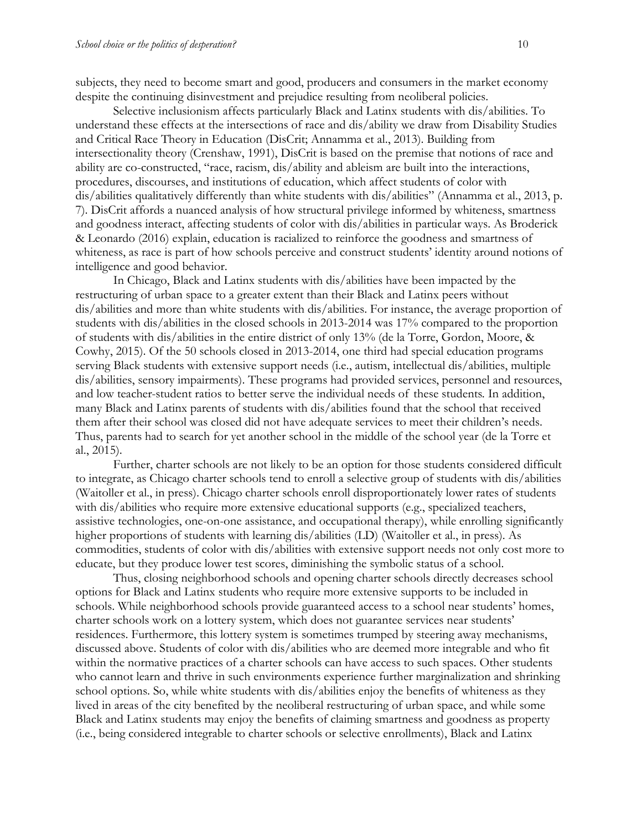subjects, they need to become smart and good, producers and consumers in the market economy despite the continuing disinvestment and prejudice resulting from neoliberal policies.

Selective inclusionism affects particularly Black and Latinx students with dis/abilities. To understand these effects at the intersections of race and dis/ability we draw from Disability Studies and Critical Race Theory in Education (DisCrit; Annamma et al., 2013). Building from intersectionality theory (Crenshaw, 1991), DisCrit is based on the premise that notions of race and ability are co-constructed, "race, racism, dis/ability and ableism are built into the interactions, procedures, discourses, and institutions of education, which affect students of color with dis/abilities qualitatively differently than white students with dis/abilities" (Annamma et al., 2013, p. 7). DisCrit affords a nuanced analysis of how structural privilege informed by whiteness, smartness and goodness interact, affecting students of color with dis/abilities in particular ways. As Broderick & Leonardo (2016) explain, education is racialized to reinforce the goodness and smartness of whiteness, as race is part of how schools perceive and construct students' identity around notions of intelligence and good behavior.

In Chicago, Black and Latinx students with dis/abilities have been impacted by the restructuring of urban space to a greater extent than their Black and Latinx peers without dis/abilities and more than white students with dis/abilities. For instance, the average proportion of students with dis/abilities in the closed schools in 2013-2014 was 17% compared to the proportion of students with dis/abilities in the entire district of only 13% (de la Torre, Gordon, Moore, & Cowhy, 2015). Of the 50 schools closed in 2013-2014, one third had special education programs serving Black students with extensive support needs (i.e., autism, intellectual dis/abilities, multiple dis/abilities, sensory impairments). These programs had provided services, personnel and resources, and low teacher-student ratios to better serve the individual needs of these students. In addition, many Black and Latinx parents of students with dis/abilities found that the school that received them after their school was closed did not have adequate services to meet their children's needs. Thus, parents had to search for yet another school in the middle of the school year (de la Torre et al., 2015).

Further, charter schools are not likely to be an option for those students considered difficult to integrate, as Chicago charter schools tend to enroll a selective group of students with dis/abilities (Waitoller et al., in press). Chicago charter schools enroll disproportionately lower rates of students with dis/abilities who require more extensive educational supports (e.g., specialized teachers, assistive technologies, one-on-one assistance, and occupational therapy), while enrolling significantly higher proportions of students with learning dis/abilities (LD) (Waitoller et al., in press). As commodities, students of color with dis/abilities with extensive support needs not only cost more to educate, but they produce lower test scores, diminishing the symbolic status of a school.

Thus, closing neighborhood schools and opening charter schools directly decreases school options for Black and Latinx students who require more extensive supports to be included in schools. While neighborhood schools provide guaranteed access to a school near students' homes, charter schools work on a lottery system, which does not guarantee services near students' residences. Furthermore, this lottery system is sometimes trumped by steering away mechanisms, discussed above. Students of color with dis/abilities who are deemed more integrable and who fit within the normative practices of a charter schools can have access to such spaces. Other students who cannot learn and thrive in such environments experience further marginalization and shrinking school options. So, while white students with dis/abilities enjoy the benefits of whiteness as they lived in areas of the city benefited by the neoliberal restructuring of urban space, and while some Black and Latinx students may enjoy the benefits of claiming smartness and goodness as property (i.e., being considered integrable to charter schools or selective enrollments), Black and Latinx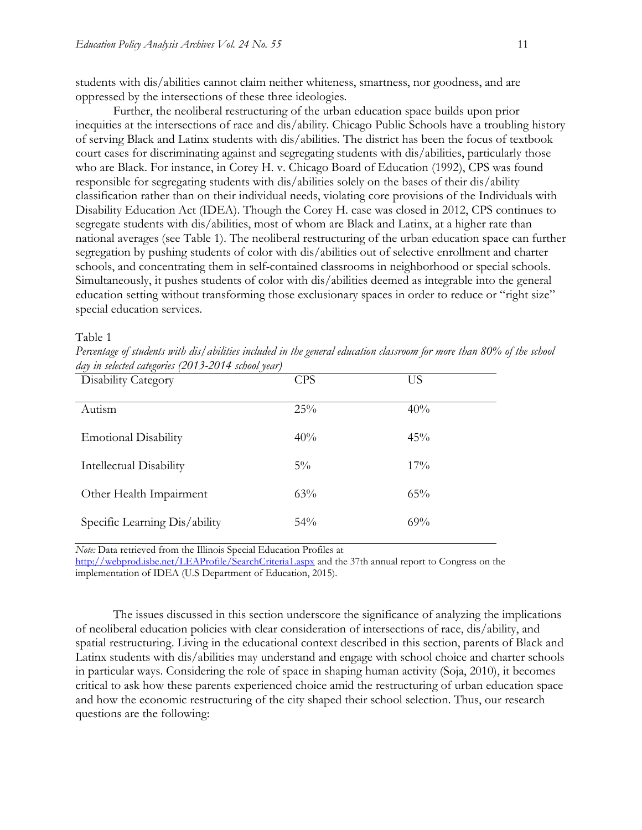students with dis/abilities cannot claim neither whiteness, smartness, nor goodness, and are oppressed by the intersections of these three ideologies.

Further, the neoliberal restructuring of the urban education space builds upon prior inequities at the intersections of race and dis/ability. Chicago Public Schools have a troubling history of serving Black and Latinx students with dis/abilities. The district has been the focus of textbook court cases for discriminating against and segregating students with dis/abilities, particularly those who are Black. For instance, in Corey H. v. Chicago Board of Education (1992), CPS was found responsible for segregating students with dis/abilities solely on the bases of their dis/ability classification rather than on their individual needs, violating core provisions of the Individuals with Disability Education Act (IDEA). Though the Corey H. case was closed in 2012, CPS continues to segregate students with dis/abilities, most of whom are Black and Latinx, at a higher rate than national averages (see Table 1). The neoliberal restructuring of the urban education space can further segregation by pushing students of color with dis/abilities out of selective enrollment and charter schools, and concentrating them in self-contained classrooms in neighborhood or special schools. Simultaneously, it pushes students of color with dis/abilities deemed as integrable into the general education setting without transforming those exclusionary spaces in order to reduce or "right size" special education services.

#### Table 1

*Percentage of students with dis/abilities included in the general education classroom for more than 80% of the school day in selected categories (2013-2014 school year)* 

| Disability Category           | <b>CPS</b> | US     |
|-------------------------------|------------|--------|
| Autism                        | 25%        | 40%    |
| <b>Emotional Disability</b>   | 40%        | 45%    |
| Intellectual Disability       | $5\%$      | $17\%$ |
| Other Health Impairment       | 63%        | $65\%$ |
| Specific Learning Dis/ability | $54\%$     | 69%    |

*Note:* Data retrieved from the Illinois Special Education Profiles at

<http://webprod.isbe.net/LEAProfile/SearchCriteria1.aspx> and the 37th annual report to Congress on the implementation of IDEA (U.S Department of Education, 2015).

The issues discussed in this section underscore the significance of analyzing the implications of neoliberal education policies with clear consideration of intersections of race, dis/ability, and spatial restructuring. Living in the educational context described in this section, parents of Black and Latinx students with dis/abilities may understand and engage with school choice and charter schools in particular ways. Considering the role of space in shaping human activity (Soja, 2010), it becomes critical to ask how these parents experienced choice amid the restructuring of urban education space and how the economic restructuring of the city shaped their school selection. Thus, our research questions are the following: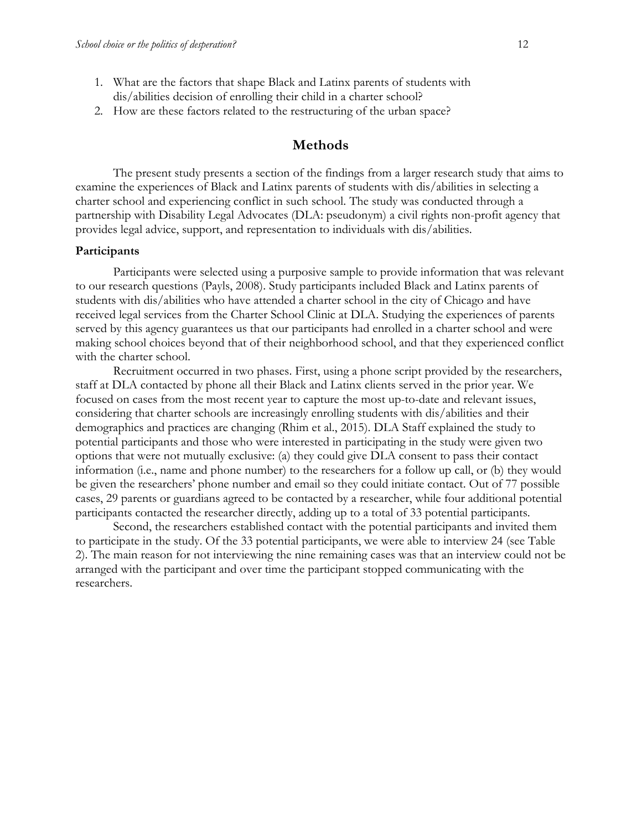- 1. What are the factors that shape Black and Latinx parents of students with dis/abilities decision of enrolling their child in a charter school?
- 2. How are these factors related to the restructuring of the urban space?

# **Methods**

The present study presents a section of the findings from a larger research study that aims to examine the experiences of Black and Latinx parents of students with dis/abilities in selecting a charter school and experiencing conflict in such school. The study was conducted through a partnership with Disability Legal Advocates (DLA: pseudonym) a civil rights non-profit agency that provides legal advice, support, and representation to individuals with dis/abilities.

#### **Participants**

Participants were selected using a purposive sample to provide information that was relevant to our research questions (Payls, 2008). Study participants included Black and Latinx parents of students with dis/abilities who have attended a charter school in the city of Chicago and have received legal services from the Charter School Clinic at DLA. Studying the experiences of parents served by this agency guarantees us that our participants had enrolled in a charter school and were making school choices beyond that of their neighborhood school, and that they experienced conflict with the charter school.

Recruitment occurred in two phases. First, using a phone script provided by the researchers, staff at DLA contacted by phone all their Black and Latinx clients served in the prior year. We focused on cases from the most recent year to capture the most up-to-date and relevant issues, considering that charter schools are increasingly enrolling students with dis/abilities and their demographics and practices are changing (Rhim et al., 2015). DLA Staff explained the study to potential participants and those who were interested in participating in the study were given two options that were not mutually exclusive: (a) they could give DLA consent to pass their contact information (i.e., name and phone number) to the researchers for a follow up call, or (b) they would be given the researchers' phone number and email so they could initiate contact. Out of 77 possible cases, 29 parents or guardians agreed to be contacted by a researcher, while four additional potential participants contacted the researcher directly, adding up to a total of 33 potential participants.

Second, the researchers established contact with the potential participants and invited them to participate in the study. Of the 33 potential participants, we were able to interview 24 (see Table 2). The main reason for not interviewing the nine remaining cases was that an interview could not be arranged with the participant and over time the participant stopped communicating with the researchers.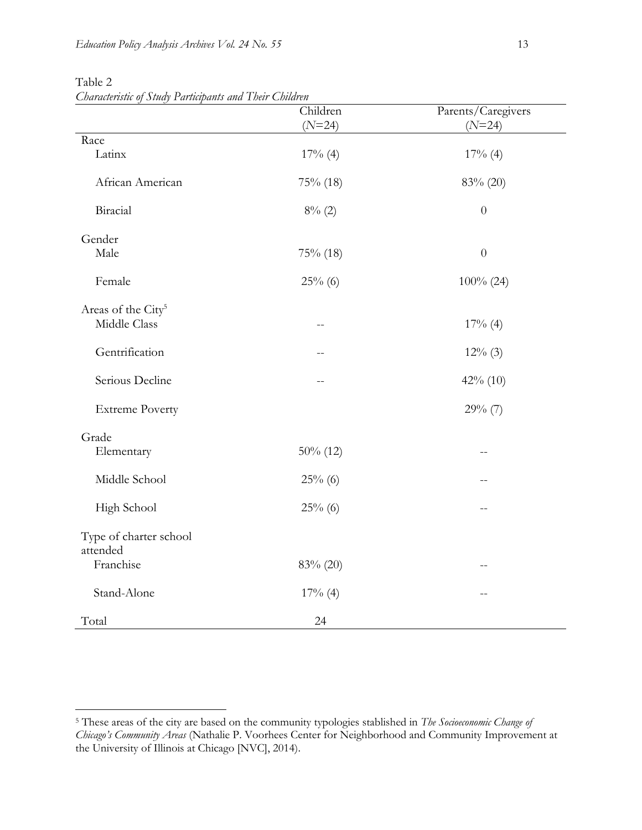|                                | Children<br>$(N=24)$ | Parents/Caregivers<br>$(N=24)$ |
|--------------------------------|----------------------|--------------------------------|
| Race                           |                      |                                |
| Latinx                         | $17\%$ (4)           | $17\%$ (4)                     |
| African American               | 75% (18)             | 83% (20)                       |
| Biracial                       | 8% (2)               | $\theta$                       |
| Gender                         |                      |                                |
| Male                           | $75\%$ (18)          | $\theta$                       |
| Female                         | $25\%$ (6)           | $100\%$ (24)                   |
| Areas of the City <sup>5</sup> |                      |                                |
| Middle Class                   | $-$                  | $17%$ (4)                      |
| Gentrification                 | --                   | $12\%$ (3)                     |
| Serious Decline                | $-$ -                | 42% (10)                       |
| <b>Extreme Poverty</b>         |                      | $29\%$ (7)                     |
| Grade                          |                      |                                |
| Elementary                     | $50\%$ (12)          |                                |
| Middle School                  | $25\%$ (6)           |                                |
| High School                    | $25\%$ (6)           | $-$                            |
| Type of charter school         |                      |                                |
| attended                       |                      |                                |
| Franchise                      | 83% (20)             | $-$                            |
| Stand-Alone                    | $17%$ (4)            |                                |
| Total                          | 24                   |                                |

Table 2

 $\overline{a}$ 

*Characteristic of Study Participants and Their Children*

<sup>5</sup> These areas of the city are based on the community typologies stablished in *The Socioeconomic Change of Chicago's Community Areas* (Nathalie P. Voorhees Center for Neighborhood and Community Improvement at the University of Illinois at Chicago [NVC], 2014).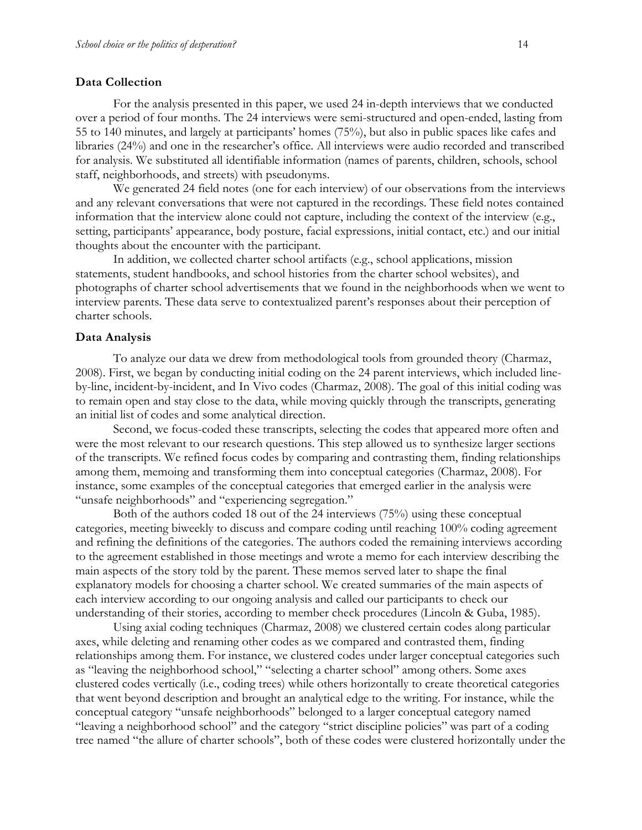#### **Data Collection**

For the analysis presented in this paper, we used 24 in-depth interviews that we conducted over a period of four months. The 24 interviews were semi-structured and open-ended, lasting from 55 to 140 minutes, and largely at participants' homes (75%), but also in public spaces like cafes and libraries (24%) and one in the researcher's office. All interviews were audio recorded and transcribed for analysis. We substituted all identifiable information (names of parents, children, schools, school staff, neighborhoods, and streets) with pseudonyms.

We generated 24 field notes (one for each interview) of our observations from the interviews and any relevant conversations that were not captured in the recordings. These field notes contained information that the interview alone could not capture, including the context of the interview (e.g., setting, participants' appearance, body posture, facial expressions, initial contact, etc.) and our initial thoughts about the encounter with the participant.

In addition, we collected charter school artifacts (e.g., school applications, mission statements, student handbooks, and school histories from the charter school websites), and photographs of charter school advertisements that we found in the neighborhoods when we went to interview parents. These data serve to contextualized parent's responses about their perception of charter schools.

#### **Data Analysis**

To analyze our data we drew from methodological tools from grounded theory (Charmaz, 2008). First, we began by conducting initial coding on the 24 parent interviews, which included lineby-line, incident-by-incident, and In Vivo codes (Charmaz, 2008). The goal of this initial coding was to remain open and stay close to the data, while moving quickly through the transcripts, generating an initial list of codes and some analytical direction.

Second, we focus-coded these transcripts, selecting the codes that appeared more often and were the most relevant to our research questions. This step allowed us to synthesize larger sections of the transcripts. We refined focus codes by comparing and contrasting them, finding relationships among them, memoing and transforming them into conceptual categories (Charmaz, 2008). For instance, some examples of the conceptual categories that emerged earlier in the analysis were "unsafe neighborhoods" and "experiencing segregation."

Both of the authors coded 18 out of the 24 interviews (75%) using these conceptual categories, meeting biweekly to discuss and compare coding until reaching 100% coding agreement and refining the definitions of the categories. The authors coded the remaining interviews according to the agreement established in those meetings and wrote a memo for each interview describing the main aspects of the story told by the parent. These memos served later to shape the final explanatory models for choosing a charter school. We created summaries of the main aspects of each interview according to our ongoing analysis and called our participants to check our understanding of their stories, according to member check procedures (Lincoln & Guba, 1985).

Using axial coding techniques (Charmaz, 2008) we clustered certain codes along particular axes, while deleting and renaming other codes as we compared and contrasted them, finding relationships among them. For instance, we clustered codes under larger conceptual categories such as "leaving the neighborhood school," "selecting a charter school" among others. Some axes clustered codes vertically (i.e., coding trees) while others horizontally to create theoretical categories that went beyond description and brought an analytical edge to the writing. For instance, while the conceptual category "unsafe neighborhoods" belonged to a larger conceptual category named "leaving a neighborhood school" and the category "strict discipline policies" was part of a coding tree named "the allure of charter schools", both of these codes were clustered horizontally under the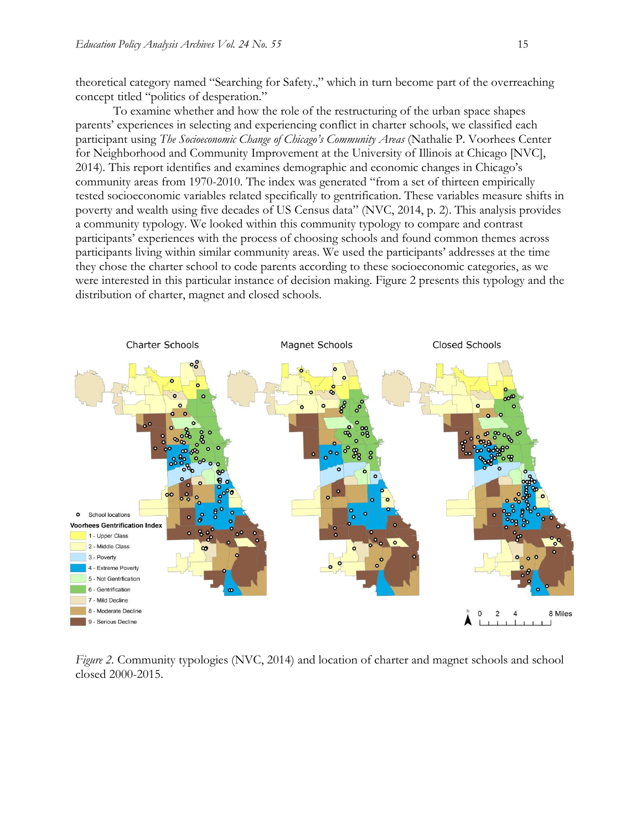theoretical category named "Searching for Safety.," which in turn become part of the overreaching concept titled "politics of desperation."

To examine whether and how the role of the restructuring of the urban space shapes parents' experiences in selecting and experiencing conflict in charter schools, we classified each participant using *The Socioeconomic Change of Chicago's Community Areas* (Nathalie P. Voorhees Center for Neighborhood and Community Improvement at the University of Illinois at Chicago [NVC], 2014)*.* This report identifies and examines demographic and economic changes in Chicago's community areas from 1970-2010. The index was generated "from a set of thirteen empirically tested socioeconomic variables related specifically to gentrification. These variables measure shifts in poverty and wealth using five decades of US Census data" (NVC, 2014, p. 2). This analysis provides a community typology. We looked within this community typology to compare and contrast participants' experiences with the process of choosing schools and found common themes across participants living within similar community areas. We used the participants' addresses at the time they chose the charter school to code parents according to these socioeconomic categories, as we were interested in this particular instance of decision making. Figure 2 presents this typology and the distribution of charter, magnet and closed schools.



*Figure 2.* Community typologies (NVC, 2014) and location of charter and magnet schools and school closed 2000-2015.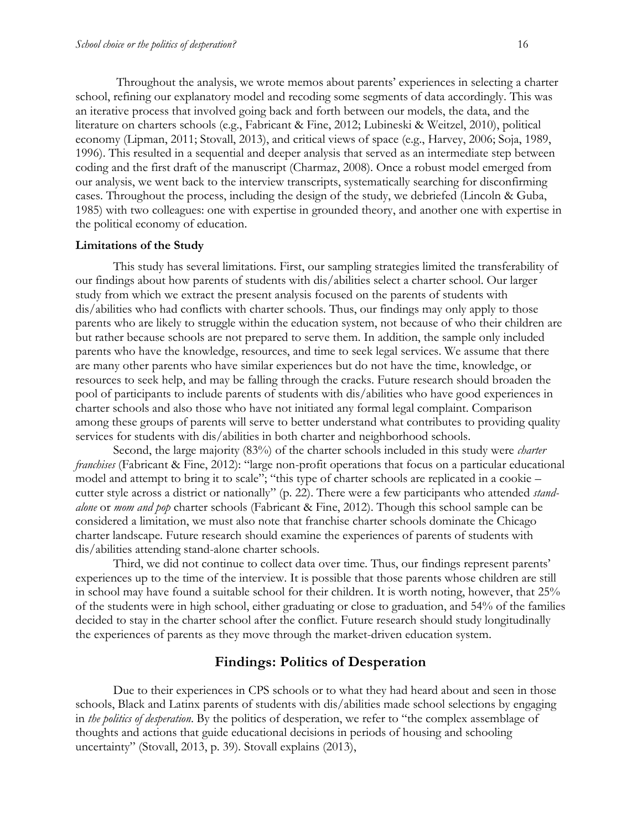Throughout the analysis, we wrote memos about parents' experiences in selecting a charter school, refining our explanatory model and recoding some segments of data accordingly. This was an iterative process that involved going back and forth between our models, the data, and the literature on charters schools (e.g., Fabricant & Fine, 2012; Lubineski & Weitzel, 2010), political economy (Lipman, 2011; Stovall, 2013), and critical views of space (e.g., Harvey, 2006; Soja, 1989, 1996). This resulted in a sequential and deeper analysis that served as an intermediate step between coding and the first draft of the manuscript (Charmaz, 2008). Once a robust model emerged from our analysis, we went back to the interview transcripts, systematically searching for disconfirming cases. Throughout the process, including the design of the study, we debriefed (Lincoln & Guba, 1985) with two colleagues: one with expertise in grounded theory, and another one with expertise in the political economy of education.

#### **Limitations of the Study**

This study has several limitations. First, our sampling strategies limited the transferability of our findings about how parents of students with dis/abilities select a charter school. Our larger study from which we extract the present analysis focused on the parents of students with dis/abilities who had conflicts with charter schools. Thus, our findings may only apply to those parents who are likely to struggle within the education system, not because of who their children are but rather because schools are not prepared to serve them. In addition, the sample only included parents who have the knowledge, resources, and time to seek legal services. We assume that there are many other parents who have similar experiences but do not have the time, knowledge, or resources to seek help, and may be falling through the cracks. Future research should broaden the pool of participants to include parents of students with dis/abilities who have good experiences in charter schools and also those who have not initiated any formal legal complaint. Comparison among these groups of parents will serve to better understand what contributes to providing quality services for students with dis/abilities in both charter and neighborhood schools.

Second, the large majority (83%) of the charter schools included in this study were *charter franchises* (Fabricant & Fine, 2012): "large non-profit operations that focus on a particular educational model and attempt to bring it to scale"; "this type of charter schools are replicated in a cookie – cutter style across a district or nationally" (p. 22). There were a few participants who attended *standalone* or *mom and pop* charter schools (Fabricant & Fine, 2012). Though this school sample can be considered a limitation, we must also note that franchise charter schools dominate the Chicago charter landscape. Future research should examine the experiences of parents of students with dis/abilities attending stand-alone charter schools.

Third, we did not continue to collect data over time. Thus, our findings represent parents' experiences up to the time of the interview. It is possible that those parents whose children are still in school may have found a suitable school for their children. It is worth noting, however, that 25% of the students were in high school, either graduating or close to graduation, and 54% of the families decided to stay in the charter school after the conflict. Future research should study longitudinally the experiences of parents as they move through the market-driven education system.

## **Findings: Politics of Desperation**

Due to their experiences in CPS schools or to what they had heard about and seen in those schools, Black and Latinx parents of students with dis/abilities made school selections by engaging in *the politics of desperation*. By the politics of desperation, we refer to "the complex assemblage of thoughts and actions that guide educational decisions in periods of housing and schooling uncertainty" (Stovall, 2013, p. 39)*.* Stovall explains (2013),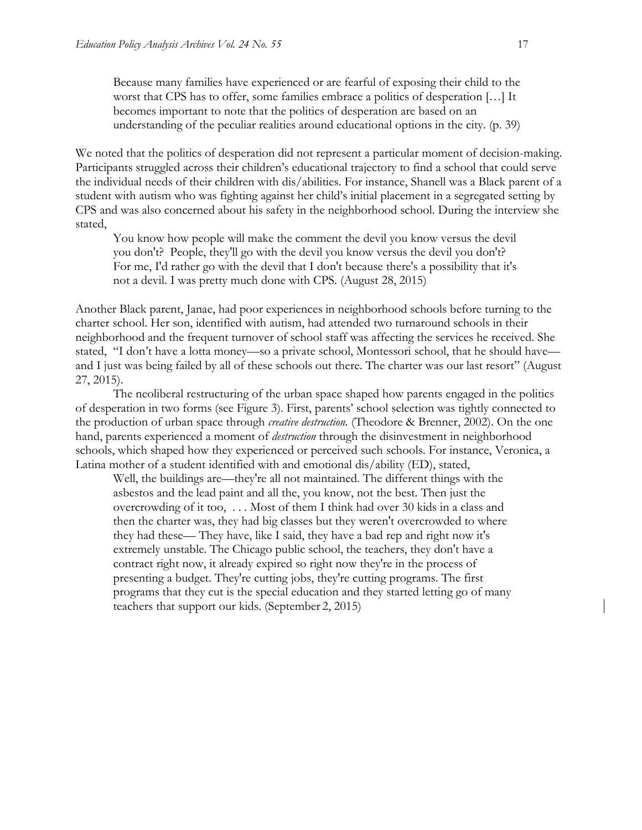Because many families have experienced or are fearful of exposing their child to the worst that CPS has to offer, some families embrace a politics of desperation […] It becomes important to note that the politics of desperation are based on an understanding of the peculiar realities around educational options in the city. (p. 39)

We noted that the politics of desperation did not represent a particular moment of decision-making. Participants struggled across their children's educational trajectory to find a school that could serve the individual needs of their children with dis/abilities. For instance, Shanell was a Black parent of a student with autism who was fighting against her child's initial placement in a segregated setting by CPS and was also concerned about his safety in the neighborhood school. During the interview she stated,

You know how people will make the comment the devil you know versus the devil you don't? People, they'll go with the devil you know versus the devil you don't? For me, I'd rather go with the devil that I don't because there's a possibility that it's not a devil. I was pretty much done with CPS. (August 28, 2015)

Another Black parent, Janae, had poor experiences in neighborhood schools before turning to the charter school. Her son, identified with autism, had attended two turnaround schools in their neighborhood and the frequent turnover of school staff was affecting the services he received. She stated, "I don't have a lotta money—so a private school, Montessori school, that he should have and I just was being failed by all of these schools out there. The charter was our last resort" (August 27, 2015).

The neoliberal restructuring of the urban space shaped how parents engaged in the politics of desperation in two forms (see Figure 3). First, parents' school selection was tightly connected to the production of urban space through *creative destruction.* (Theodore & Brenner, 2002). On the one hand, parents experienced a moment of *destruction* through the disinvestment in neighborhood schools, which shaped how they experienced or perceived such schools. For instance, Veronica, a Latina mother of a student identified with and emotional dis/ability (ED), stated,

Well, the buildings are––they're all not maintained. The different things with the asbestos and the lead paint and all the, you know, not the best. Then just the overcrowding of it too, . . . Most of them I think had over 30 kids in a class and then the charter was, they had big classes but they weren't overcrowded to where they had these— They have, like I said, they have a bad rep and right now it's extremely unstable. The Chicago public school, the teachers, they don't have a contract right now, it already expired so right now they're in the process of presenting a budget. They're cutting jobs, they're cutting programs. The first programs that they cut is the special education and they started letting go of many teachers that support our kids. (September 2, 2015)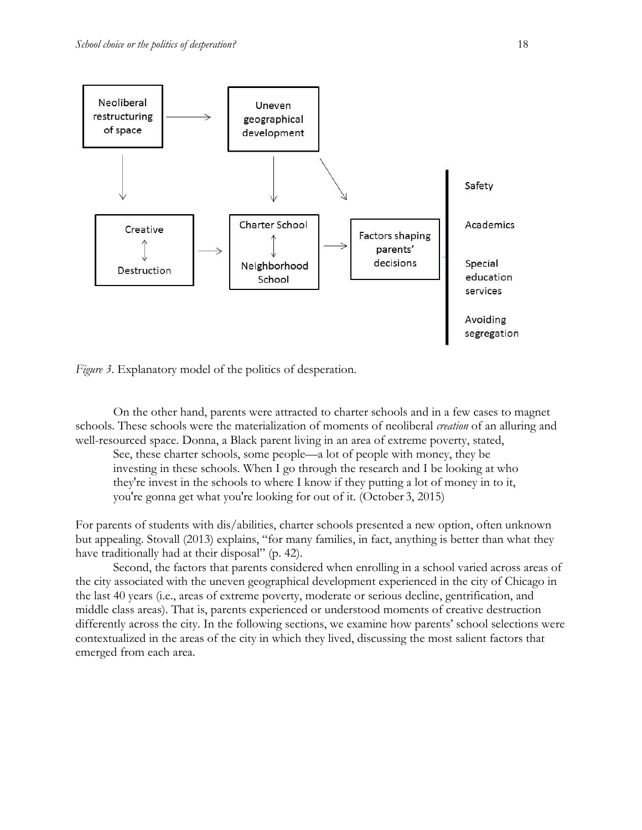



On the other hand, parents were attracted to charter schools and in a few cases to magnet schools. These schools were the materialization of moments of neoliberal *creation* of an alluring and well-resourced space. Donna, a Black parent living in an area of extreme poverty, stated,

See, these charter schools, some people—a lot of people with money, they be investing in these schools. When I go through the research and I be looking at who they're invest in the schools to where I know if they putting a lot of money in to it, you're gonna get what you're looking for out of it. (October 3, 2015)

For parents of students with dis/abilities, charter schools presented a new option, often unknown but appealing. Stovall (2013) explains, "for many families, in fact, anything is better than what they have traditionally had at their disposal" (p. 42).

Second, the factors that parents considered when enrolling in a school varied across areas of the city associated with the uneven geographical development experienced in the city of Chicago in the last 40 years (i.e., areas of extreme poverty, moderate or serious decline, gentrification, and middle class areas). That is, parents experienced or understood moments of creative destruction differently across the city. In the following sections, we examine how parents' school selections were contextualized in the areas of the city in which they lived, discussing the most salient factors that emerged from each area.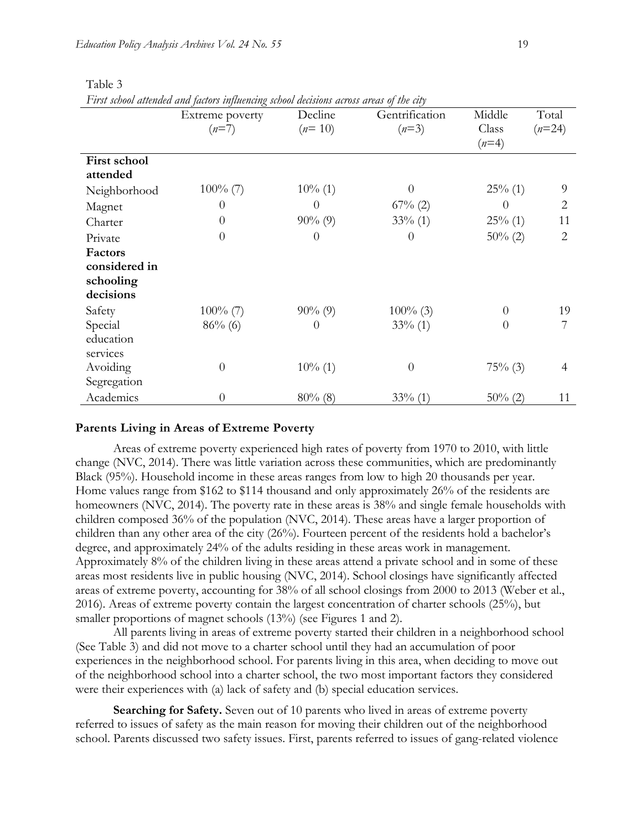| T irst schoot attenaed and factors influencing schoot decisions across areas of the city |                 |            |                |            |                |  |  |  |
|------------------------------------------------------------------------------------------|-----------------|------------|----------------|------------|----------------|--|--|--|
|                                                                                          | Extreme poverty | Decline    | Gentrification | Middle     | Total          |  |  |  |
|                                                                                          | $(n=7)$         | $(n=10)$   | $(n=3)$        | Class      | $(n=24)$       |  |  |  |
|                                                                                          |                 |            |                | $(n=4)$    |                |  |  |  |
| First school                                                                             |                 |            |                |            |                |  |  |  |
| attended                                                                                 |                 |            |                |            |                |  |  |  |
| Neighborhood                                                                             | $100\%$ (7)     | $10\%$ (1) | $\Omega$       | $25\%$ (1) | 9              |  |  |  |
| Magnet                                                                                   | $\theta$        | $\theta$   | $67\%$ (2)     | $\theta$   | 2              |  |  |  |
| Charter                                                                                  | $\overline{0}$  | $90\% (9)$ | $33\%$ (1)     | $25\%$ (1) | 11             |  |  |  |
| Private                                                                                  | $\overline{0}$  | $\theta$   | $\theta$       | $50\%$ (2) | $\overline{2}$ |  |  |  |
| Factors                                                                                  |                 |            |                |            |                |  |  |  |
| considered in                                                                            |                 |            |                |            |                |  |  |  |
| schooling                                                                                |                 |            |                |            |                |  |  |  |
| decisions                                                                                |                 |            |                |            |                |  |  |  |
| Safety                                                                                   | $100\%$ (7)     | $90\% (9)$ | $100\%$ (3)    | $\theta$   | 19             |  |  |  |
| Special                                                                                  | $86\%$ (6)      | $\theta$   | $33\%$ (1)     | $\theta$   |                |  |  |  |
| education                                                                                |                 |            |                |            |                |  |  |  |
| services                                                                                 |                 |            |                |            |                |  |  |  |
| Avoiding                                                                                 | $\overline{0}$  | $10\%$ (1) | $\theta$       | $75%$ (3)  | 4              |  |  |  |
| Segregation                                                                              |                 |            |                |            |                |  |  |  |
| Academics                                                                                | $\theta$        | $80\%$ (8) | $33\%$ (1)     | $50\%$ (2) | 11             |  |  |  |

### Table 3

*First school attended and factors influencing school decisions across areas of the city* 

#### **Parents Living in Areas of Extreme Poverty**

Areas of extreme poverty experienced high rates of poverty from 1970 to 2010, with little change (NVC, 2014). There was little variation across these communities, which are predominantly Black (95%). Household income in these areas ranges from low to high 20 thousands per year. Home values range from \$162 to \$114 thousand and only approximately 26% of the residents are homeowners (NVC, 2014). The poverty rate in these areas is 38% and single female households with children composed 36% of the population (NVC, 2014). These areas have a larger proportion of children than any other area of the city (26%). Fourteen percent of the residents hold a bachelor's degree, and approximately 24% of the adults residing in these areas work in management. Approximately 8% of the children living in these areas attend a private school and in some of these areas most residents live in public housing (NVC, 2014). School closings have significantly affected areas of extreme poverty, accounting for 38% of all school closings from 2000 to 2013 (Weber et al., 2016). Areas of extreme poverty contain the largest concentration of charter schools (25%), but smaller proportions of magnet schools  $(13%)$  (see Figures 1 and 2).

All parents living in areas of extreme poverty started their children in a neighborhood school (See Table 3) and did not move to a charter school until they had an accumulation of poor experiences in the neighborhood school. For parents living in this area, when deciding to move out of the neighborhood school into a charter school, the two most important factors they considered were their experiences with (a) lack of safety and (b) special education services.

**Searching for Safety.** Seven out of 10 parents who lived in areas of extreme poverty referred to issues of safety as the main reason for moving their children out of the neighborhood school. Parents discussed two safety issues. First, parents referred to issues of gang-related violence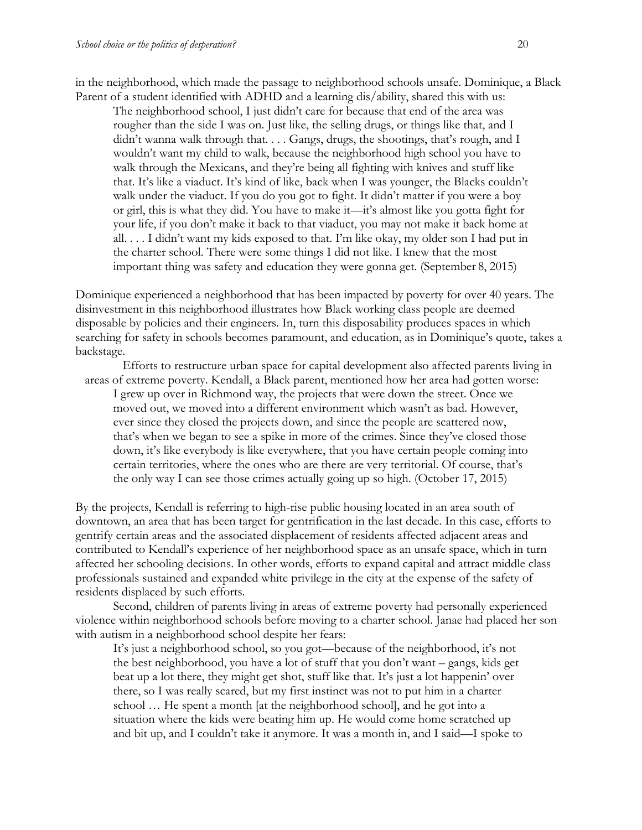in the neighborhood, which made the passage to neighborhood schools unsafe. Dominique, a Black Parent of a student identified with ADHD and a learning dis/ability, shared this with us:

The neighborhood school, I just didn't care for because that end of the area was rougher than the side I was on. Just like, the selling drugs, or things like that, and I didn't wanna walk through that. . . . Gangs, drugs, the shootings, that's rough, and I wouldn't want my child to walk, because the neighborhood high school you have to walk through the Mexicans, and they're being all fighting with knives and stuff like that. It's like a viaduct. It's kind of like, back when I was younger, the Blacks couldn't walk under the viaduct. If you do you got to fight. It didn't matter if you were a boy or girl, this is what they did. You have to make it—it's almost like you gotta fight for your life, if you don't make it back to that viaduct, you may not make it back home at all. . . . I didn't want my kids exposed to that. I'm like okay, my older son I had put in the charter school. There were some things I did not like. I knew that the most important thing was safety and education they were gonna get. (September 8, 2015)

Dominique experienced a neighborhood that has been impacted by poverty for over 40 years. The disinvestment in this neighborhood illustrates how Black working class people are deemed disposable by policies and their engineers. In, turn this disposability produces spaces in which searching for safety in schools becomes paramount, and education, as in Dominique's quote, takes a backstage.

Efforts to restructure urban space for capital development also affected parents living in areas of extreme poverty. Kendall, a Black parent, mentioned how her area had gotten worse: I grew up over in Richmond way, the projects that were down the street. Once we moved out, we moved into a different environment which wasn't as bad. However, ever since they closed the projects down, and since the people are scattered now, that's when we began to see a spike in more of the crimes. Since they've closed those down, it's like everybody is like everywhere, that you have certain people coming into certain territories, where the ones who are there are very territorial. Of course, that's the only way I can see those crimes actually going up so high. (October 17, 2015)

By the projects, Kendall is referring to high-rise public housing located in an area south of downtown, an area that has been target for gentrification in the last decade. In this case, efforts to gentrify certain areas and the associated displacement of residents affected adjacent areas and contributed to Kendall's experience of her neighborhood space as an unsafe space, which in turn affected her schooling decisions. In other words, efforts to expand capital and attract middle class professionals sustained and expanded white privilege in the city at the expense of the safety of residents displaced by such efforts.

Second, children of parents living in areas of extreme poverty had personally experienced violence within neighborhood schools before moving to a charter school. Janae had placed her son with autism in a neighborhood school despite her fears:

It's just a neighborhood school, so you got—because of the neighborhood, it's not the best neighborhood, you have a lot of stuff that you don't want – gangs, kids get beat up a lot there, they might get shot, stuff like that. It's just a lot happenin' over there, so I was really scared, but my first instinct was not to put him in a charter school … He spent a month [at the neighborhood school], and he got into a situation where the kids were beating him up. He would come home scratched up and bit up, and I couldn't take it anymore. It was a month in, and I said—I spoke to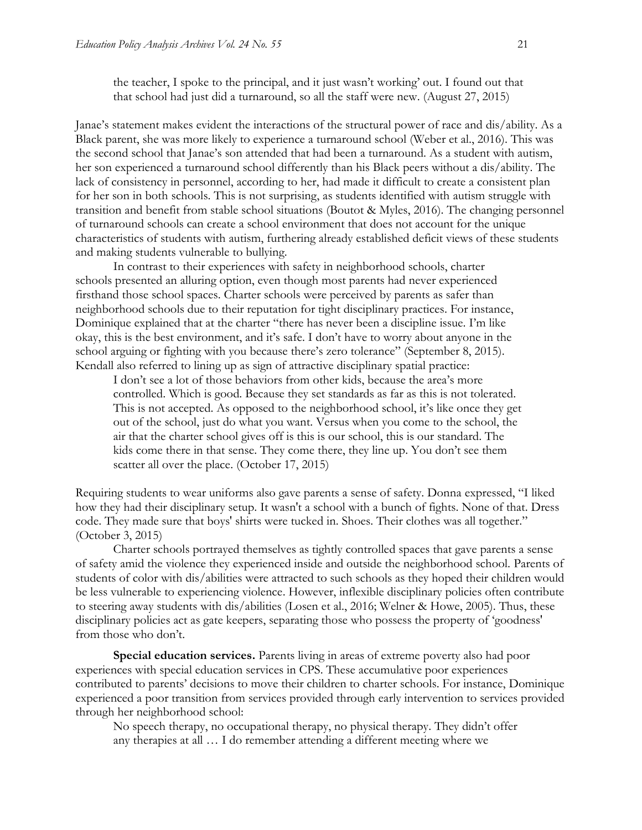the teacher, I spoke to the principal, and it just wasn't working' out. I found out that that school had just did a turnaround, so all the staff were new. (August 27, 2015)

Janae's statement makes evident the interactions of the structural power of race and dis/ability. As a Black parent, she was more likely to experience a turnaround school (Weber et al., 2016). This was the second school that Janae's son attended that had been a turnaround. As a student with autism, her son experienced a turnaround school differently than his Black peers without a dis/ability. The lack of consistency in personnel, according to her, had made it difficult to create a consistent plan for her son in both schools. This is not surprising, as students identified with autism struggle with transition and benefit from stable school situations (Boutot & Myles, 2016). The changing personnel of turnaround schools can create a school environment that does not account for the unique characteristics of students with autism, furthering already established deficit views of these students and making students vulnerable to bullying.

In contrast to their experiences with safety in neighborhood schools, charter schools presented an alluring option, even though most parents had never experienced firsthand those school spaces. Charter schools were perceived by parents as safer than neighborhood schools due to their reputation for tight disciplinary practices. For instance, Dominique explained that at the charter "there has never been a discipline issue. I'm like okay, this is the best environment, and it's safe. I don't have to worry about anyone in the school arguing or fighting with you because there's zero tolerance" (September 8, 2015). Kendall also referred to lining up as sign of attractive disciplinary spatial practice:

I don't see a lot of those behaviors from other kids, because the area's more controlled. Which is good. Because they set standards as far as this is not tolerated. This is not accepted. As opposed to the neighborhood school, it's like once they get out of the school, just do what you want. Versus when you come to the school, the air that the charter school gives off is this is our school, this is our standard. The kids come there in that sense. They come there, they line up. You don't see them scatter all over the place. (October 17, 2015)

Requiring students to wear uniforms also gave parents a sense of safety. Donna expressed, "I liked how they had their disciplinary setup. It wasn't a school with a bunch of fights. None of that. Dress code. They made sure that boys' shirts were tucked in. Shoes. Their clothes was all together." (October 3, 2015)

Charter schools portrayed themselves as tightly controlled spaces that gave parents a sense of safety amid the violence they experienced inside and outside the neighborhood school. Parents of students of color with dis/abilities were attracted to such schools as they hoped their children would be less vulnerable to experiencing violence. However, inflexible disciplinary policies often contribute to steering away students with dis/abilities (Losen et al., 2016; Welner & Howe, 2005). Thus, these disciplinary policies act as gate keepers, separating those who possess the property of 'goodness' from those who don't.

**Special education services.** Parents living in areas of extreme poverty also had poor experiences with special education services in CPS. These accumulative poor experiences contributed to parents' decisions to move their children to charter schools. For instance, Dominique experienced a poor transition from services provided through early intervention to services provided through her neighborhood school:

No speech therapy, no occupational therapy, no physical therapy. They didn't offer any therapies at all … I do remember attending a different meeting where we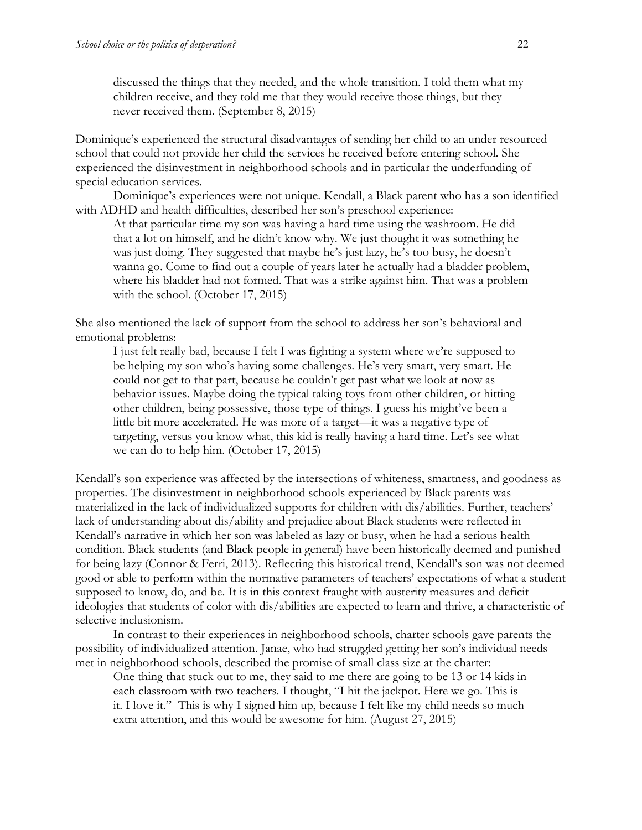discussed the things that they needed, and the whole transition. I told them what my children receive, and they told me that they would receive those things, but they never received them. (September 8, 2015)

Dominique's experienced the structural disadvantages of sending her child to an under resourced school that could not provide her child the services he received before entering school. She experienced the disinvestment in neighborhood schools and in particular the underfunding of special education services.

Dominique's experiences were not unique. Kendall, a Black parent who has a son identified with ADHD and health difficulties, described her son's preschool experience:

At that particular time my son was having a hard time using the washroom. He did that a lot on himself, and he didn't know why. We just thought it was something he was just doing. They suggested that maybe he's just lazy, he's too busy, he doesn't wanna go. Come to find out a couple of years later he actually had a bladder problem, where his bladder had not formed. That was a strike against him. That was a problem with the school. (October 17, 2015)

She also mentioned the lack of support from the school to address her son's behavioral and emotional problems:

I just felt really bad, because I felt I was fighting a system where we're supposed to be helping my son who's having some challenges. He's very smart, very smart. He could not get to that part, because he couldn't get past what we look at now as behavior issues. Maybe doing the typical taking toys from other children, or hitting other children, being possessive, those type of things. I guess his might've been a little bit more accelerated. He was more of a target—it was a negative type of targeting, versus you know what, this kid is really having a hard time. Let's see what we can do to help him. (October 17, 2015)

Kendall's son experience was affected by the intersections of whiteness, smartness, and goodness as properties. The disinvestment in neighborhood schools experienced by Black parents was materialized in the lack of individualized supports for children with dis/abilities. Further, teachers' lack of understanding about dis/ability and prejudice about Black students were reflected in Kendall's narrative in which her son was labeled as lazy or busy, when he had a serious health condition. Black students (and Black people in general) have been historically deemed and punished for being lazy (Connor & Ferri, 2013). Reflecting this historical trend, Kendall's son was not deemed good or able to perform within the normative parameters of teachers' expectations of what a student supposed to know, do, and be. It is in this context fraught with austerity measures and deficit ideologies that students of color with dis/abilities are expected to learn and thrive, a characteristic of selective inclusionism.

In contrast to their experiences in neighborhood schools, charter schools gave parents the possibility of individualized attention. Janae, who had struggled getting her son's individual needs met in neighborhood schools, described the promise of small class size at the charter:

One thing that stuck out to me, they said to me there are going to be 13 or 14 kids in each classroom with two teachers. I thought, "I hit the jackpot. Here we go. This is it. I love it." This is why I signed him up, because I felt like my child needs so much extra attention, and this would be awesome for him. (August 27, 2015)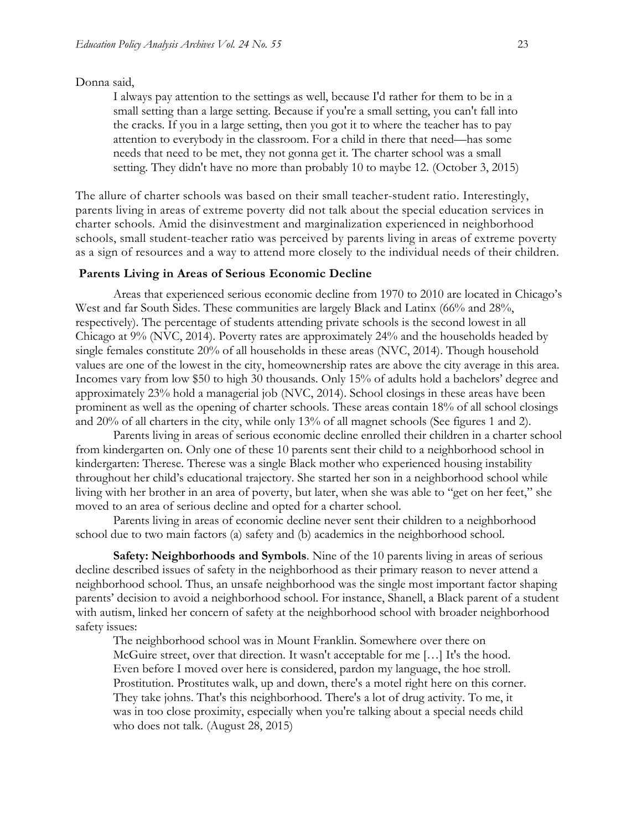#### Donna said,

I always pay attention to the settings as well, because I'd rather for them to be in a small setting than a large setting. Because if you're a small setting, you can't fall into the cracks. If you in a large setting, then you got it to where the teacher has to pay attention to everybody in the classroom. For a child in there that need—has some needs that need to be met, they not gonna get it. The charter school was a small setting. They didn't have no more than probably 10 to maybe 12. (October 3, 2015)

The allure of charter schools was based on their small teacher-student ratio. Interestingly, parents living in areas of extreme poverty did not talk about the special education services in charter schools. Amid the disinvestment and marginalization experienced in neighborhood schools, small student-teacher ratio was perceived by parents living in areas of extreme poverty as a sign of resources and a way to attend more closely to the individual needs of their children.

#### **Parents Living in Areas of Serious Economic Decline**

Areas that experienced serious economic decline from 1970 to 2010 are located in Chicago's West and far South Sides. These communities are largely Black and Latinx (66% and 28%, respectively). The percentage of students attending private schools is the second lowest in all Chicago at 9% (NVC, 2014). Poverty rates are approximately 24% and the households headed by single females constitute 20% of all households in these areas (NVC, 2014). Though household values are one of the lowest in the city, homeownership rates are above the city average in this area. Incomes vary from low \$50 to high 30 thousands. Only 15% of adults hold a bachelors' degree and approximately 23% hold a managerial job (NVC, 2014). School closings in these areas have been prominent as well as the opening of charter schools. These areas contain 18% of all school closings and 20% of all charters in the city, while only 13% of all magnet schools (See figures 1 and 2).

Parents living in areas of serious economic decline enrolled their children in a charter school from kindergarten on. Only one of these 10 parents sent their child to a neighborhood school in kindergarten: Therese. Therese was a single Black mother who experienced housing instability throughout her child's educational trajectory. She started her son in a neighborhood school while living with her brother in an area of poverty, but later, when she was able to "get on her feet," she moved to an area of serious decline and opted for a charter school.

Parents living in areas of economic decline never sent their children to a neighborhood school due to two main factors (a) safety and (b) academics in the neighborhood school.

**Safety: Neighborhoods and Symbols**. Nine of the 10 parents living in areas of serious decline described issues of safety in the neighborhood as their primary reason to never attend a neighborhood school. Thus, an unsafe neighborhood was the single most important factor shaping parents' decision to avoid a neighborhood school. For instance, Shanell, a Black parent of a student with autism, linked her concern of safety at the neighborhood school with broader neighborhood safety issues:

The neighborhood school was in Mount Franklin. Somewhere over there on McGuire street, over that direction. It wasn't acceptable for me […] It's the hood. Even before I moved over here is considered, pardon my language, the hoe stroll. Prostitution. Prostitutes walk, up and down, there's a motel right here on this corner. They take johns. That's this neighborhood. There's a lot of drug activity. To me, it was in too close proximity, especially when you're talking about a special needs child who does not talk. (August 28, 2015)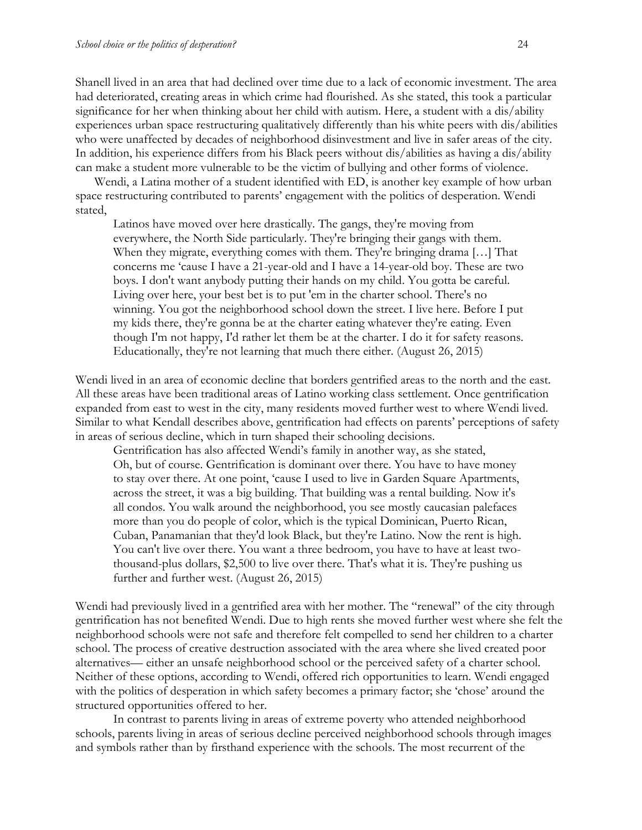Shanell lived in an area that had declined over time due to a lack of economic investment. The area had deteriorated, creating areas in which crime had flourished. As she stated, this took a particular significance for her when thinking about her child with autism. Here, a student with a dis/ability experiences urban space restructuring qualitatively differently than his white peers with dis/abilities who were unaffected by decades of neighborhood disinvestment and live in safer areas of the city. In addition, his experience differs from his Black peers without dis/abilities as having a dis/ability can make a student more vulnerable to be the victim of bullying and other forms of violence.

Wendi, a Latina mother of a student identified with ED, is another key example of how urban space restructuring contributed to parents' engagement with the politics of desperation. Wendi stated,

Latinos have moved over here drastically. The gangs, they're moving from everywhere, the North Side particularly. They're bringing their gangs with them. When they migrate, everything comes with them. They're bringing drama […] That concerns me 'cause I have a 21-year-old and I have a 14-year-old boy. These are two boys. I don't want anybody putting their hands on my child. You gotta be careful. Living over here, your best bet is to put 'em in the charter school. There's no winning. You got the neighborhood school down the street. I live here. Before I put my kids there, they're gonna be at the charter eating whatever they're eating. Even though I'm not happy, I'd rather let them be at the charter. I do it for safety reasons. Educationally, they're not learning that much there either. (August 26, 2015)

Wendi lived in an area of economic decline that borders gentrified areas to the north and the east. All these areas have been traditional areas of Latino working class settlement. Once gentrification expanded from east to west in the city, many residents moved further west to where Wendi lived. Similar to what Kendall describes above, gentrification had effects on parents' perceptions of safety in areas of serious decline, which in turn shaped their schooling decisions.

Gentrification has also affected Wendi's family in another way, as she stated, Oh, but of course. Gentrification is dominant over there. You have to have money to stay over there. At one point, 'cause I used to live in Garden Square Apartments, across the street, it was a big building. That building was a rental building. Now it's all condos. You walk around the neighborhood, you see mostly caucasian palefaces more than you do people of color, which is the typical Dominican, Puerto Rican, Cuban, Panamanian that they'd look Black, but they're Latino. Now the rent is high. You can't live over there. You want a three bedroom, you have to have at least twothousand-plus dollars, \$2,500 to live over there. That's what it is. They're pushing us further and further west. (August 26, 2015)

Wendi had previously lived in a gentrified area with her mother. The "renewal" of the city through gentrification has not benefited Wendi. Due to high rents she moved further west where she felt the neighborhood schools were not safe and therefore felt compelled to send her children to a charter school. The process of creative destruction associated with the area where she lived created poor alternatives— either an unsafe neighborhood school or the perceived safety of a charter school. Neither of these options, according to Wendi, offered rich opportunities to learn. Wendi engaged with the politics of desperation in which safety becomes a primary factor; she 'chose' around the structured opportunities offered to her.

In contrast to parents living in areas of extreme poverty who attended neighborhood schools, parents living in areas of serious decline perceived neighborhood schools through images and symbols rather than by firsthand experience with the schools. The most recurrent of the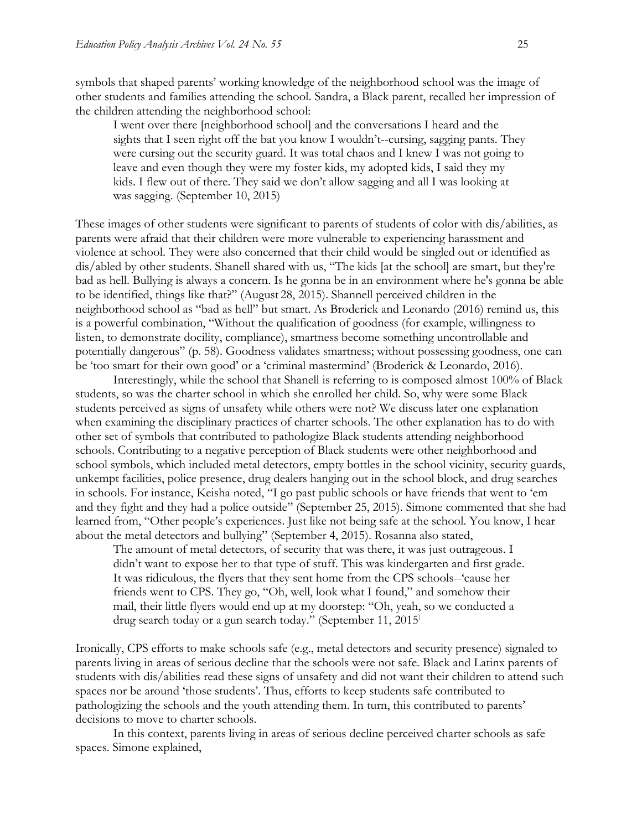symbols that shaped parents' working knowledge of the neighborhood school was the image of other students and families attending the school. Sandra, a Black parent, recalled her impression of the children attending the neighborhood school:

I went over there [neighborhood school] and the conversations I heard and the sights that I seen right off the bat you know I wouldn't--cursing, sagging pants. They were cursing out the security guard. It was total chaos and I knew I was not going to leave and even though they were my foster kids, my adopted kids, I said they my kids. I flew out of there. They said we don't allow sagging and all I was looking at was sagging. (September 10, 2015)

These images of other students were significant to parents of students of color with dis/abilities, as parents were afraid that their children were more vulnerable to experiencing harassment and violence at school. They were also concerned that their child would be singled out or identified as dis/abled by other students. Shanell shared with us, "The kids [at the school] are smart, but they're bad as hell. Bullying is always a concern. Is he gonna be in an environment where he's gonna be able to be identified, things like that?" (August 28, 2015). Shannell perceived children in the neighborhood school as "bad as hell" but smart. As Broderick and Leonardo (2016) remind us, this is a powerful combination, "Without the qualification of goodness (for example, willingness to listen, to demonstrate docility, compliance), smartness become something uncontrollable and potentially dangerous" (p. 58). Goodness validates smartness; without possessing goodness, one can be 'too smart for their own good' or a 'criminal mastermind' (Broderick & Leonardo, 2016).

Interestingly, while the school that Shanell is referring to is composed almost 100% of Black students, so was the charter school in which she enrolled her child. So, why were some Black students perceived as signs of unsafety while others were not? We discuss later one explanation when examining the disciplinary practices of charter schools. The other explanation has to do with other set of symbols that contributed to pathologize Black students attending neighborhood schools. Contributing to a negative perception of Black students were other neighborhood and school symbols, which included metal detectors, empty bottles in the school vicinity, security guards, unkempt facilities, police presence, drug dealers hanging out in the school block, and drug searches in schools. For instance, Keisha noted, "I go past public schools or have friends that went to 'em and they fight and they had a police outside" (September 25, 2015). Simone commented that she had learned from, "Other people's experiences. Just like not being safe at the school. You know, I hear about the metal detectors and bullying" (September 4, 2015). Rosanna also stated,

The amount of metal detectors, of security that was there, it was just outrageous. I didn't want to expose her to that type of stuff. This was kindergarten and first grade. It was ridiculous, the flyers that they sent home from the CPS schools--'cause her friends went to CPS. They go, "Oh, well, look what I found," and somehow their mail, their little flyers would end up at my doorstep: "Oh, yeah, so we conducted a drug search today or a gun search today." (September 11, 2015)

Ironically, CPS efforts to make schools safe (e.g., metal detectors and security presence) signaled to parents living in areas of serious decline that the schools were not safe. Black and Latinx parents of students with dis/abilities read these signs of unsafety and did not want their children to attend such spaces nor be around 'those students'. Thus, efforts to keep students safe contributed to pathologizing the schools and the youth attending them. In turn, this contributed to parents' decisions to move to charter schools.

In this context, parents living in areas of serious decline perceived charter schools as safe spaces. Simone explained,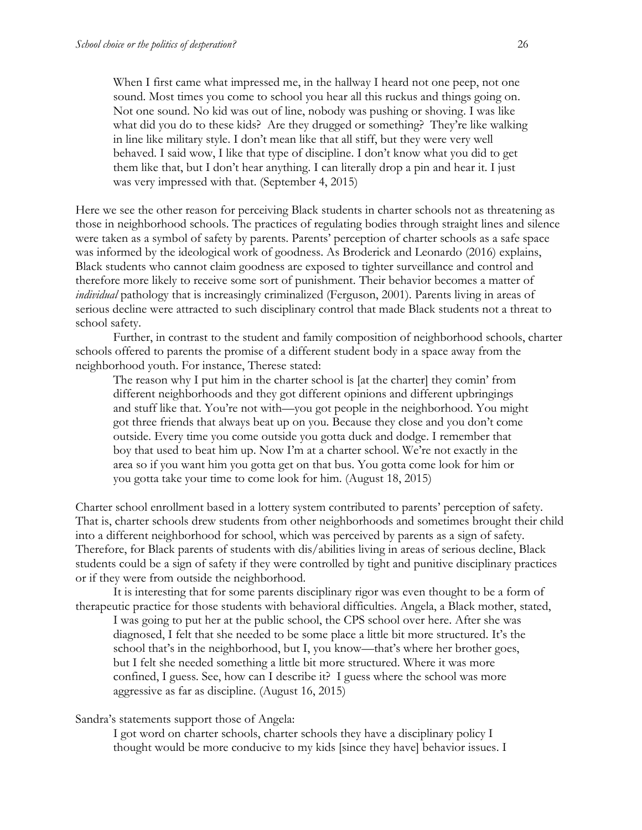When I first came what impressed me, in the hallway I heard not one peep, not one sound. Most times you come to school you hear all this ruckus and things going on. Not one sound. No kid was out of line, nobody was pushing or shoving. I was like what did you do to these kids? Are they drugged or something? They're like walking in line like military style. I don't mean like that all stiff, but they were very well behaved. I said wow, I like that type of discipline. I don't know what you did to get them like that, but I don't hear anything. I can literally drop a pin and hear it. I just was very impressed with that. (September 4, 2015)

Here we see the other reason for perceiving Black students in charter schools not as threatening as those in neighborhood schools. The practices of regulating bodies through straight lines and silence were taken as a symbol of safety by parents. Parents' perception of charter schools as a safe space was informed by the ideological work of goodness. As Broderick and Leonardo (2016) explains, Black students who cannot claim goodness are exposed to tighter surveillance and control and therefore more likely to receive some sort of punishment. Their behavior becomes a matter of *individual* pathology that is increasingly criminalized (Ferguson, 2001). Parents living in areas of serious decline were attracted to such disciplinary control that made Black students not a threat to school safety.

Further, in contrast to the student and family composition of neighborhood schools, charter schools offered to parents the promise of a different student body in a space away from the neighborhood youth. For instance, Therese stated:

The reason why I put him in the charter school is [at the charter] they comin' from different neighborhoods and they got different opinions and different upbringings and stuff like that. You're not with—you got people in the neighborhood. You might got three friends that always beat up on you. Because they close and you don't come outside. Every time you come outside you gotta duck and dodge. I remember that boy that used to beat him up. Now I'm at a charter school. We're not exactly in the area so if you want him you gotta get on that bus. You gotta come look for him or you gotta take your time to come look for him. (August 18, 2015)

Charter school enrollment based in a lottery system contributed to parents' perception of safety. That is, charter schools drew students from other neighborhoods and sometimes brought their child into a different neighborhood for school, which was perceived by parents as a sign of safety. Therefore, for Black parents of students with dis/abilities living in areas of serious decline, Black students could be a sign of safety if they were controlled by tight and punitive disciplinary practices or if they were from outside the neighborhood.

It is interesting that for some parents disciplinary rigor was even thought to be a form of therapeutic practice for those students with behavioral difficulties. Angela, a Black mother, stated,

I was going to put her at the public school, the CPS school over here. After she was diagnosed, I felt that she needed to be some place a little bit more structured. It's the school that's in the neighborhood, but I, you know—that's where her brother goes, but I felt she needed something a little bit more structured. Where it was more confined, I guess. See, how can I describe it? I guess where the school was more aggressive as far as discipline. (August 16, 2015)

### Sandra's statements support those of Angela:

I got word on charter schools, charter schools they have a disciplinary policy I thought would be more conducive to my kids [since they have] behavior issues. I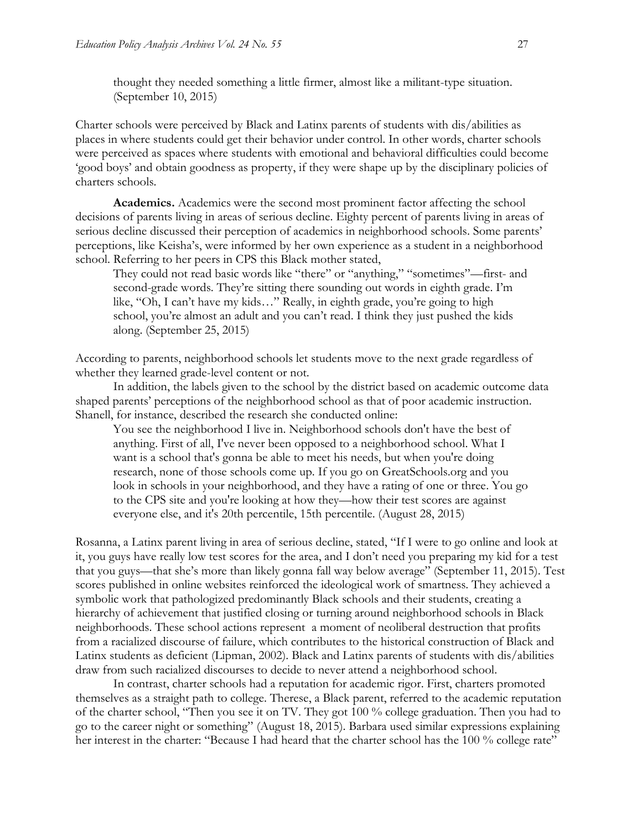thought they needed something a little firmer, almost like a militant-type situation. (September 10, 2015)

Charter schools were perceived by Black and Latinx parents of students with dis/abilities as places in where students could get their behavior under control. In other words, charter schools were perceived as spaces where students with emotional and behavioral difficulties could become 'good boys' and obtain goodness as property, if they were shape up by the disciplinary policies of charters schools.

**Academics.** Academics were the second most prominent factor affecting the school decisions of parents living in areas of serious decline. Eighty percent of parents living in areas of serious decline discussed their perception of academics in neighborhood schools. Some parents' perceptions, like Keisha's, were informed by her own experience as a student in a neighborhood school. Referring to her peers in CPS this Black mother stated,

They could not read basic words like "there" or "anything," "sometimes"—first- and second-grade words. They're sitting there sounding out words in eighth grade. I'm like, "Oh, I can't have my kids…" Really, in eighth grade, you're going to high school, you're almost an adult and you can't read. I think they just pushed the kids along. (September 25, 2015)

According to parents, neighborhood schools let students move to the next grade regardless of whether they learned grade-level content or not.

In addition, the labels given to the school by the district based on academic outcome data shaped parents' perceptions of the neighborhood school as that of poor academic instruction. Shanell, for instance, described the research she conducted online:

You see the neighborhood I live in. Neighborhood schools don't have the best of anything. First of all, I've never been opposed to a neighborhood school. What I want is a school that's gonna be able to meet his needs, but when you're doing research, none of those schools come up. If you go on GreatSchools.org and you look in schools in your neighborhood, and they have a rating of one or three. You go to the CPS site and you're looking at how they—how their test scores are against everyone else, and it's 20th percentile, 15th percentile. (August 28, 2015)

Rosanna, a Latinx parent living in area of serious decline, stated, "If I were to go online and look at it, you guys have really low test scores for the area, and I don't need you preparing my kid for a test that you guys—that she's more than likely gonna fall way below average" (September 11, 2015). Test scores published in online websites reinforced the ideological work of smartness. They achieved a symbolic work that pathologized predominantly Black schools and their students, creating a hierarchy of achievement that justified closing or turning around neighborhood schools in Black neighborhoods. These school actions represent a moment of neoliberal destruction that profits from a racialized discourse of failure, which contributes to the historical construction of Black and Latinx students as deficient (Lipman, 2002). Black and Latinx parents of students with dis/abilities draw from such racialized discourses to decide to never attend a neighborhood school.

In contrast, charter schools had a reputation for academic rigor. First, charters promoted themselves as a straight path to college. Therese, a Black parent, referred to the academic reputation of the charter school, "Then you see it on TV. They got 100 % college graduation. Then you had to go to the career night or something" (August 18, 2015). Barbara used similar expressions explaining her interest in the charter: "Because I had heard that the charter school has the 100 % college rate"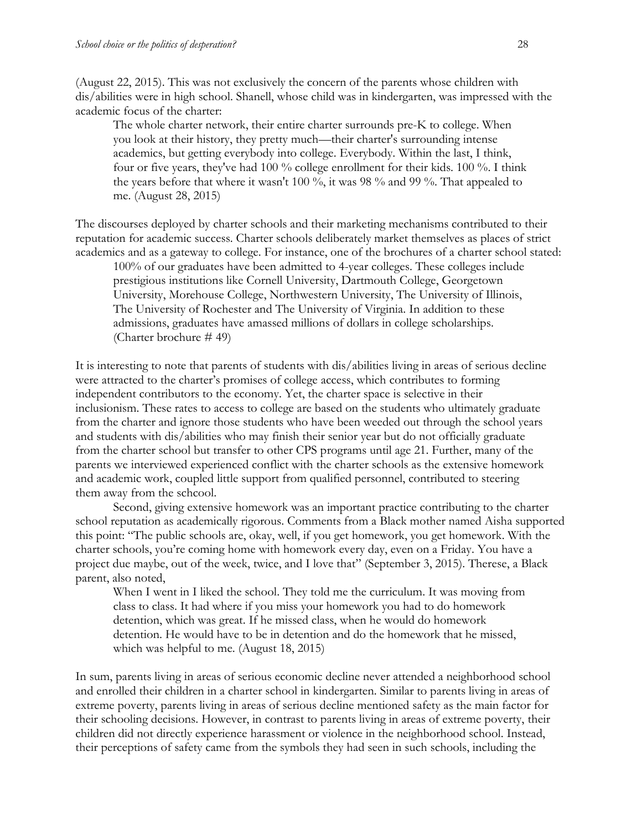(August 22, 2015). This was not exclusively the concern of the parents whose children with dis/abilities were in high school. Shanell, whose child was in kindergarten, was impressed with the academic focus of the charter:

The whole charter network, their entire charter surrounds pre-K to college. When you look at their history, they pretty much—their charter's surrounding intense academics, but getting everybody into college. Everybody. Within the last, I think, four or five years, they've had 100 % college enrollment for their kids. 100 %. I think the years before that where it wasn't 100 %, it was 98 % and 99 %. That appealed to me. (August 28, 2015)

The discourses deployed by charter schools and their marketing mechanisms contributed to their reputation for academic success. Charter schools deliberately market themselves as places of strict academics and as a gateway to college. For instance, one of the brochures of a charter school stated:

100% of our graduates have been admitted to 4-year colleges. These colleges include prestigious institutions like Cornell University, Dartmouth College, Georgetown University, Morehouse College, Northwestern University, The University of Illinois, The University of Rochester and The University of Virginia. In addition to these admissions, graduates have amassed millions of dollars in college scholarships. (Charter brochure # 49)

It is interesting to note that parents of students with dis/abilities living in areas of serious decline were attracted to the charter's promises of college access, which contributes to forming independent contributors to the economy. Yet, the charter space is selective in their inclusionism. These rates to access to college are based on the students who ultimately graduate from the charter and ignore those students who have been weeded out through the school years and students with dis/abilities who may finish their senior year but do not officially graduate from the charter school but transfer to other CPS programs until age 21. Further, many of the parents we interviewed experienced conflict with the charter schools as the extensive homework and academic work, coupled little support from qualified personnel, contributed to steering them away from the schcool.

Second, giving extensive homework was an important practice contributing to the charter school reputation as academically rigorous. Comments from a Black mother named Aisha supported this point: "The public schools are, okay, well, if you get homework, you get homework. With the charter schools, you're coming home with homework every day, even on a Friday. You have a project due maybe, out of the week, twice, and I love that" (September 3, 2015). Therese, a Black parent, also noted,

When I went in I liked the school. They told me the curriculum. It was moving from class to class. It had where if you miss your homework you had to do homework detention, which was great. If he missed class, when he would do homework detention. He would have to be in detention and do the homework that he missed, which was helpful to me. (August 18, 2015)

In sum, parents living in areas of serious economic decline never attended a neighborhood school and enrolled their children in a charter school in kindergarten. Similar to parents living in areas of extreme poverty, parents living in areas of serious decline mentioned safety as the main factor for their schooling decisions. However, in contrast to parents living in areas of extreme poverty, their children did not directly experience harassment or violence in the neighborhood school. Instead, their perceptions of safety came from the symbols they had seen in such schools, including the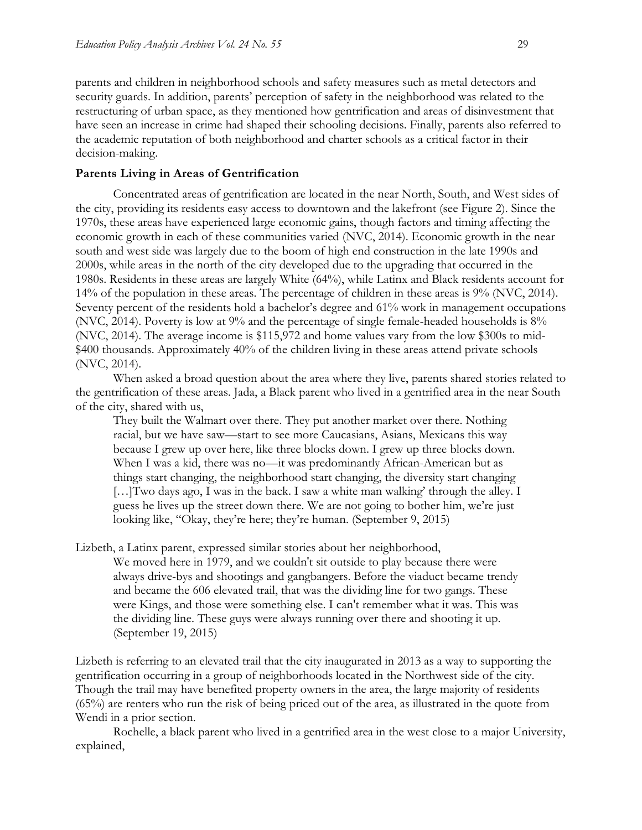parents and children in neighborhood schools and safety measures such as metal detectors and security guards. In addition, parents' perception of safety in the neighborhood was related to the restructuring of urban space, as they mentioned how gentrification and areas of disinvestment that have seen an increase in crime had shaped their schooling decisions. Finally, parents also referred to the academic reputation of both neighborhood and charter schools as a critical factor in their decision-making.

### **Parents Living in Areas of Gentrification**

Concentrated areas of gentrification are located in the near North, South, and West sides of the city, providing its residents easy access to downtown and the lakefront (see Figure 2). Since the 1970s, these areas have experienced large economic gains, though factors and timing affecting the economic growth in each of these communities varied (NVC, 2014). Economic growth in the near south and west side was largely due to the boom of high end construction in the late 1990s and 2000s, while areas in the north of the city developed due to the upgrading that occurred in the 1980s. Residents in these areas are largely White (64%), while Latinx and Black residents account for 14% of the population in these areas. The percentage of children in these areas is 9% (NVC, 2014). Seventy percent of the residents hold a bachelor's degree and 61% work in management occupations (NVC, 2014). Poverty is low at 9% and the percentage of single female-headed households is 8% (NVC, 2014). The average income is \$115,972 and home values vary from the low \$300s to mid- \$400 thousands. Approximately 40% of the children living in these areas attend private schools (NVC, 2014).

When asked a broad question about the area where they live, parents shared stories related to the gentrification of these areas. Jada, a Black parent who lived in a gentrified area in the near South of the city, shared with us,

They built the Walmart over there. They put another market over there. Nothing racial, but we have saw—start to see more Caucasians, Asians, Mexicans this way because I grew up over here, like three blocks down. I grew up three blocks down. When I was a kid, there was no—it was predominantly African-American but as things start changing, the neighborhood start changing, the diversity start changing […]Two days ago, I was in the back. I saw a white man walking' through the alley. I guess he lives up the street down there. We are not going to bother him, we're just looking like, "Okay, they're here; they're human. (September 9, 2015)

Lizbeth, a Latinx parent, expressed similar stories about her neighborhood,

We moved here in 1979, and we couldn't sit outside to play because there were always drive-bys and shootings and gangbangers. Before the viaduct became trendy and became the 606 elevated trail, that was the dividing line for two gangs. These were Kings, and those were something else. I can't remember what it was. This was the dividing line. These guys were always running over there and shooting it up. (September 19, 2015)

Lizbeth is referring to an elevated trail that the city inaugurated in 2013 as a way to supporting the gentrification occurring in a group of neighborhoods located in the Northwest side of the city. Though the trail may have benefited property owners in the area, the large majority of residents (65%) are renters who run the risk of being priced out of the area, as illustrated in the quote from Wendi in a prior section.

Rochelle, a black parent who lived in a gentrified area in the west close to a major University, explained,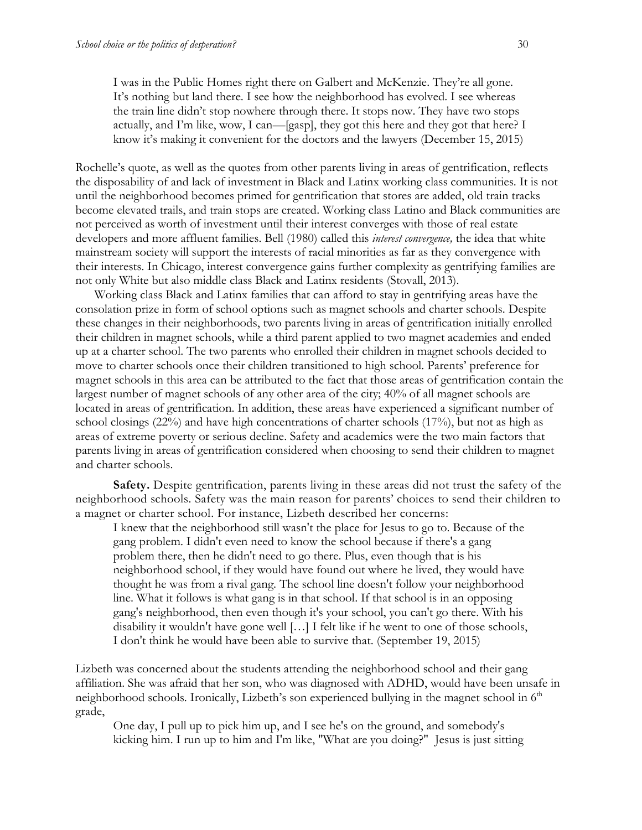I was in the Public Homes right there on Galbert and McKenzie. They're all gone. It's nothing but land there. I see how the neighborhood has evolved. I see whereas the train line didn't stop nowhere through there. It stops now. They have two stops actually, and I'm like, wow, I can—[gasp], they got this here and they got that here? I know it's making it convenient for the doctors and the lawyers (December 15, 2015)

Rochelle's quote, as well as the quotes from other parents living in areas of gentrification, reflects the disposability of and lack of investment in Black and Latinx working class communities. It is not until the neighborhood becomes primed for gentrification that stores are added, old train tracks become elevated trails, and train stops are created. Working class Latino and Black communities are not perceived as worth of investment until their interest converges with those of real estate developers and more affluent families. Bell (1980) called this *interest convergence,* the idea that white mainstream society will support the interests of racial minorities as far as they convergence with their interests. In Chicago, interest convergence gains further complexity as gentrifying families are not only White but also middle class Black and Latinx residents (Stovall, 2013).

Working class Black and Latinx families that can afford to stay in gentrifying areas have the consolation prize in form of school options such as magnet schools and charter schools. Despite these changes in their neighborhoods, two parents living in areas of gentrification initially enrolled their children in magnet schools, while a third parent applied to two magnet academies and ended up at a charter school. The two parents who enrolled their children in magnet schools decided to move to charter schools once their children transitioned to high school. Parents' preference for magnet schools in this area can be attributed to the fact that those areas of gentrification contain the largest number of magnet schools of any other area of the city; 40% of all magnet schools are located in areas of gentrification. In addition, these areas have experienced a significant number of school closings (22%) and have high concentrations of charter schools (17%), but not as high as areas of extreme poverty or serious decline. Safety and academics were the two main factors that parents living in areas of gentrification considered when choosing to send their children to magnet and charter schools.

**Safety.** Despite gentrification, parents living in these areas did not trust the safety of the neighborhood schools. Safety was the main reason for parents' choices to send their children to a magnet or charter school. For instance, Lizbeth described her concerns:

I knew that the neighborhood still wasn't the place for Jesus to go to. Because of the gang problem. I didn't even need to know the school because if there's a gang problem there, then he didn't need to go there. Plus, even though that is his neighborhood school, if they would have found out where he lived, they would have thought he was from a rival gang. The school line doesn't follow your neighborhood line. What it follows is what gang is in that school. If that school is in an opposing gang's neighborhood, then even though it's your school, you can't go there. With his disability it wouldn't have gone well […] I felt like if he went to one of those schools, I don't think he would have been able to survive that. (September 19, 2015)

Lizbeth was concerned about the students attending the neighborhood school and their gang affiliation. She was afraid that her son, who was diagnosed with ADHD, would have been unsafe in neighborhood schools. Ironically, Lizbeth's son experienced bullying in the magnet school in 6<sup>th</sup> grade,

One day, I pull up to pick him up, and I see he's on the ground, and somebody's kicking him. I run up to him and I'm like, "What are you doing?" Jesus is just sitting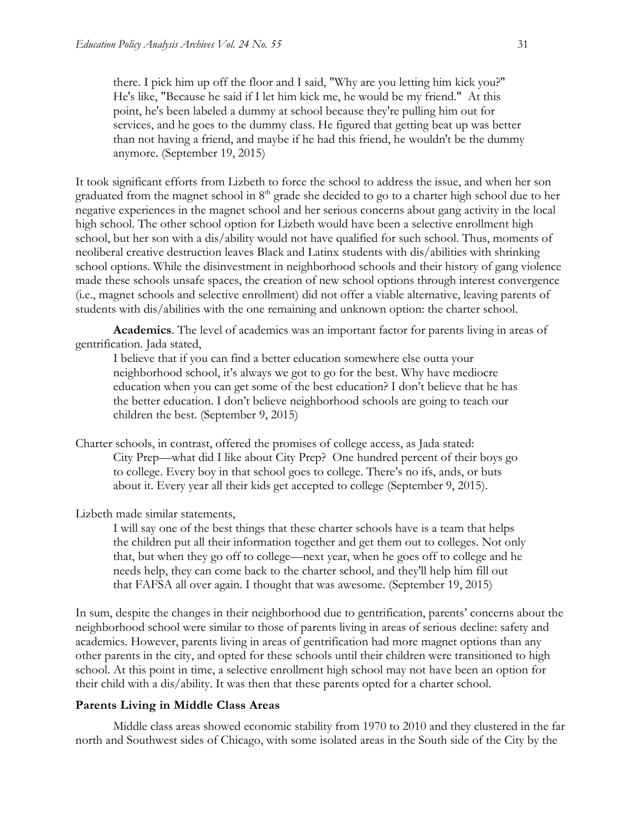there. I pick him up off the floor and I said, "Why are you letting him kick you?" He's like, "Because he said if I let him kick me, he would be my friend." At this point, he's been labeled a dummy at school because they're pulling him out for services, and he goes to the dummy class. He figured that getting beat up was better than not having a friend, and maybe if he had this friend, he wouldn't be the dummy anymore. (September 19, 2015)

It took significant efforts from Lizbeth to force the school to address the issue, and when her son graduated from the magnet school in  $8<sup>th</sup>$  grade she decided to go to a charter high school due to her negative experiences in the magnet school and her serious concerns about gang activity in the local high school. The other school option for Lizbeth would have been a selective enrollment high school, but her son with a dis/ability would not have qualified for such school. Thus, moments of neoliberal creative destruction leaves Black and Latinx students with dis/abilities with shrinking school options. While the disinvestment in neighborhood schools and their history of gang violence made these schools unsafe spaces, the creation of new school options through interest convergence (i.e., magnet schools and selective enrollment) did not offer a viable alternative, leaving parents of students with dis/abilities with the one remaining and unknown option: the charter school.

**Academics**. The level of academics was an important factor for parents living in areas of gentrification. Jada stated,

I believe that if you can find a better education somewhere else outta your neighborhood school, it's always we got to go for the best. Why have mediocre education when you can get some of the best education? I don't believe that he has the better education. I don't believe neighborhood schools are going to teach our children the best. (September 9, 2015)

Charter schools, in contrast, offered the promises of college access, as Jada stated: City Prep—what did I like about City Prep? One hundred percent of their boys go to college. Every boy in that school goes to college. There's no ifs, ands, or buts about it. Every year all their kids get accepted to college (September 9, 2015).

Lizbeth made similar statements,

I will say one of the best things that these charter schools have is a team that helps the children put all their information together and get them out to colleges. Not only that, but when they go off to college—next year, when he goes off to college and he needs help, they can come back to the charter school, and they'll help him fill out that FAFSA all over again. I thought that was awesome. (September 19, 2015)

In sum, despite the changes in their neighborhood due to gentrification, parents' concerns about the neighborhood school were similar to those of parents living in areas of serious decline: safety and academics. However, parents living in areas of gentrification had more magnet options than any other parents in the city, and opted for these schools until their children were transitioned to high school. At this point in time, a selective enrollment high school may not have been an option for their child with a dis/ability. It was then that these parents opted for a charter school.

#### **Parents Living in Middle Class Areas**

Middle class areas showed economic stability from 1970 to 2010 and they clustered in the far north and Southwest sides of Chicago, with some isolated areas in the South side of the City by the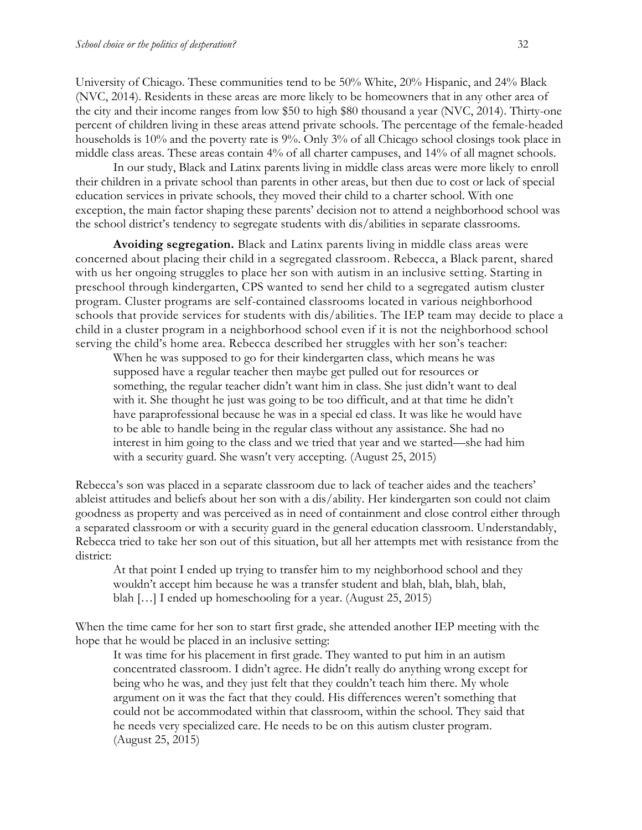University of Chicago. These communities tend to be 50% White, 20% Hispanic, and 24% Black (NVC, 2014). Residents in these areas are more likely to be homeowners that in any other area of the city and their income ranges from low \$50 to high \$80 thousand a year (NVC, 2014). Thirty-one percent of children living in these areas attend private schools. The percentage of the female-headed households is 10% and the poverty rate is 9%. Only 3% of all Chicago school closings took place in middle class areas. These areas contain 4% of all charter campuses, and 14% of all magnet schools.

In our study, Black and Latinx parents living in middle class areas were more likely to enroll their children in a private school than parents in other areas, but then due to cost or lack of special education services in private schools, they moved their child to a charter school. With one exception, the main factor shaping these parents' decision not to attend a neighborhood school was the school district's tendency to segregate students with dis/abilities in separate classrooms.

**Avoiding segregation.** Black and Latinx parents living in middle class areas were concerned about placing their child in a segregated classroom. Rebecca, a Black parent, shared with us her ongoing struggles to place her son with autism in an inclusive setting. Starting in preschool through kindergarten, CPS wanted to send her child to a segregated autism cluster program. Cluster programs are self-contained classrooms located in various neighborhood schools that provide services for students with dis/abilities. The IEP team may decide to place a child in a cluster program in a neighborhood school even if it is not the neighborhood school serving the child's home area. Rebecca described her struggles with her son's teacher:

When he was supposed to go for their kindergarten class, which means he was supposed have a regular teacher then maybe get pulled out for resources or something, the regular teacher didn't want him in class. She just didn't want to deal with it. She thought he just was going to be too difficult, and at that time he didn't have paraprofessional because he was in a special ed class. It was like he would have to be able to handle being in the regular class without any assistance. She had no interest in him going to the class and we tried that year and we started—she had him with a security guard. She wasn't very accepting. (August 25, 2015)

Rebecca's son was placed in a separate classroom due to lack of teacher aides and the teachers' ableist attitudes and beliefs about her son with a dis/ability. Her kindergarten son could not claim goodness as property and was perceived as in need of containment and close control either through a separated classroom or with a security guard in the general education classroom. Understandably, Rebecca tried to take her son out of this situation, but all her attempts met with resistance from the district:

At that point I ended up trying to transfer him to my neighborhood school and they wouldn't accept him because he was a transfer student and blah, blah, blah, blah, blah […] I ended up homeschooling for a year. (August 25, 2015)

When the time came for her son to start first grade, she attended another IEP meeting with the hope that he would be placed in an inclusive setting:

It was time for his placement in first grade. They wanted to put him in an autism concentrated classroom. I didn't agree. He didn't really do anything wrong except for being who he was, and they just felt that they couldn't teach him there. My whole argument on it was the fact that they could. His differences weren't something that could not be accommodated within that classroom, within the school. They said that he needs very specialized care. He needs to be on this autism cluster program. (August 25, 2015)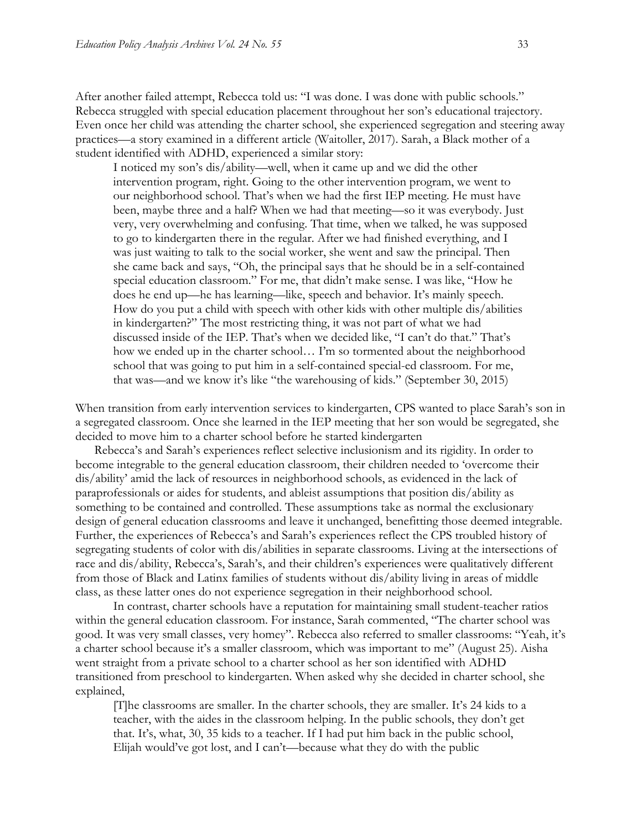After another failed attempt, Rebecca told us: "I was done. I was done with public schools." Rebecca struggled with special education placement throughout her son's educational trajectory. Even once her child was attending the charter school, she experienced segregation and steering away practices—a story examined in a different article (Waitoller, 2017). Sarah, a Black mother of a student identified with ADHD, experienced a similar story:

I noticed my son's dis/ability—well, when it came up and we did the other intervention program, right. Going to the other intervention program, we went to our neighborhood school. That's when we had the first IEP meeting. He must have been, maybe three and a half? When we had that meeting—so it was everybody. Just very, very overwhelming and confusing. That time, when we talked, he was supposed to go to kindergarten there in the regular. After we had finished everything, and I was just waiting to talk to the social worker, she went and saw the principal. Then she came back and says, "Oh, the principal says that he should be in a self-contained special education classroom." For me, that didn't make sense. I was like, "How he does he end up—he has learning—like, speech and behavior. It's mainly speech. How do you put a child with speech with other kids with other multiple dis/abilities in kindergarten?" The most restricting thing, it was not part of what we had discussed inside of the IEP. That's when we decided like, "I can't do that." That's how we ended up in the charter school… I'm so tormented about the neighborhood school that was going to put him in a self-contained special-ed classroom. For me, that was—and we know it's like "the warehousing of kids." (September 30, 2015)

When transition from early intervention services to kindergarten, CPS wanted to place Sarah's son in a segregated classroom. Once she learned in the IEP meeting that her son would be segregated, she decided to move him to a charter school before he started kindergarten

Rebecca's and Sarah's experiences reflect selective inclusionism and its rigidity. In order to become integrable to the general education classroom, their children needed to 'overcome their dis/ability' amid the lack of resources in neighborhood schools, as evidenced in the lack of paraprofessionals or aides for students, and ableist assumptions that position dis/ability as something to be contained and controlled. These assumptions take as normal the exclusionary design of general education classrooms and leave it unchanged, benefitting those deemed integrable. Further, the experiences of Rebecca's and Sarah's experiences reflect the CPS troubled history of segregating students of color with dis/abilities in separate classrooms. Living at the intersections of race and dis/ability, Rebecca's, Sarah's, and their children's experiences were qualitatively different from those of Black and Latinx families of students without dis/ability living in areas of middle class, as these latter ones do not experience segregation in their neighborhood school.

In contrast, charter schools have a reputation for maintaining small student-teacher ratios within the general education classroom. For instance, Sarah commented, "The charter school was good. It was very small classes, very homey". Rebecca also referred to smaller classrooms: "Yeah, it's a charter school because it's a smaller classroom, which was important to me" (August 25). Aisha went straight from a private school to a charter school as her son identified with ADHD transitioned from preschool to kindergarten. When asked why she decided in charter school, she explained,

[T]he classrooms are smaller. In the charter schools, they are smaller. It's 24 kids to a teacher, with the aides in the classroom helping. In the public schools, they don't get that. It's, what, 30, 35 kids to a teacher. If I had put him back in the public school, Elijah would've got lost, and I can't—because what they do with the public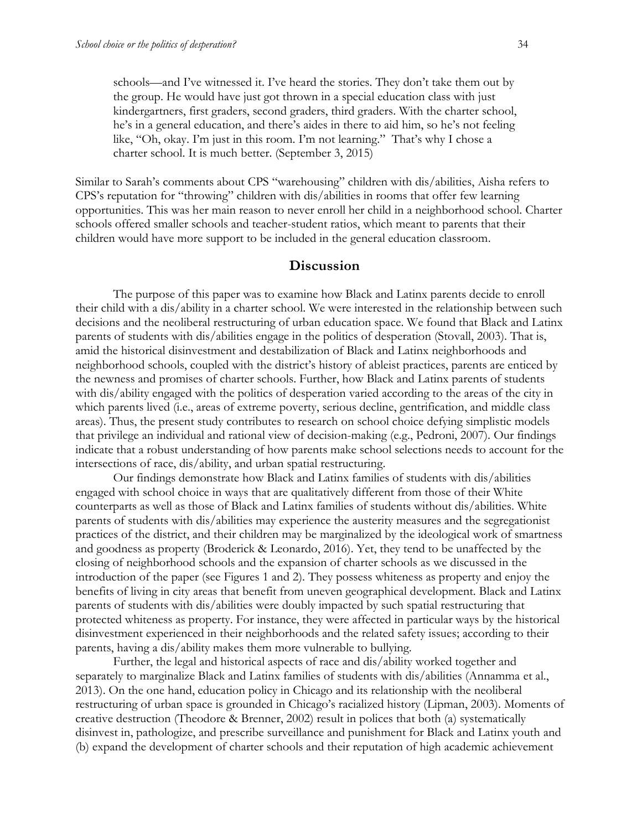schools—and I've witnessed it. I've heard the stories. They don't take them out by the group. He would have just got thrown in a special education class with just kindergartners, first graders, second graders, third graders. With the charter school, he's in a general education, and there's aides in there to aid him, so he's not feeling like, "Oh, okay. I'm just in this room. I'm not learning." That's why I chose a charter school. It is much better. (September 3, 2015)

Similar to Sarah's comments about CPS "warehousing" children with dis/abilities, Aisha refers to CPS's reputation for "throwing" children with dis/abilities in rooms that offer few learning opportunities. This was her main reason to never enroll her child in a neighborhood school. Charter schools offered smaller schools and teacher-student ratios, which meant to parents that their children would have more support to be included in the general education classroom.

## **Discussion**

The purpose of this paper was to examine how Black and Latinx parents decide to enroll their child with a dis/ability in a charter school. We were interested in the relationship between such decisions and the neoliberal restructuring of urban education space. We found that Black and Latinx parents of students with dis/abilities engage in the politics of desperation (Stovall, 2003). That is, amid the historical disinvestment and destabilization of Black and Latinx neighborhoods and neighborhood schools, coupled with the district's history of ableist practices, parents are enticed by the newness and promises of charter schools. Further, how Black and Latinx parents of students with dis/ability engaged with the politics of desperation varied according to the areas of the city in which parents lived (i.e., areas of extreme poverty, serious decline, gentrification, and middle class areas). Thus, the present study contributes to research on school choice defying simplistic models that privilege an individual and rational view of decision-making (e.g., Pedroni, 2007). Our findings indicate that a robust understanding of how parents make school selections needs to account for the intersections of race, dis/ability, and urban spatial restructuring.

Our findings demonstrate how Black and Latinx families of students with dis/abilities engaged with school choice in ways that are qualitatively different from those of their White counterparts as well as those of Black and Latinx families of students without dis/abilities. White parents of students with dis/abilities may experience the austerity measures and the segregationist practices of the district, and their children may be marginalized by the ideological work of smartness and goodness as property (Broderick & Leonardo, 2016). Yet, they tend to be unaffected by the closing of neighborhood schools and the expansion of charter schools as we discussed in the introduction of the paper (see Figures 1 and 2). They possess whiteness as property and enjoy the benefits of living in city areas that benefit from uneven geographical development. Black and Latinx parents of students with dis/abilities were doubly impacted by such spatial restructuring that protected whiteness as property. For instance, they were affected in particular ways by the historical disinvestment experienced in their neighborhoods and the related safety issues; according to their parents, having a dis/ability makes them more vulnerable to bullying.

Further, the legal and historical aspects of race and dis/ability worked together and separately to marginalize Black and Latinx families of students with dis/abilities (Annamma et al., 2013). On the one hand, education policy in Chicago and its relationship with the neoliberal restructuring of urban space is grounded in Chicago's racialized history (Lipman, 2003). Moments of creative destruction (Theodore & Brenner, 2002) result in polices that both (a) systematically disinvest in, pathologize, and prescribe surveillance and punishment for Black and Latinx youth and (b) expand the development of charter schools and their reputation of high academic achievement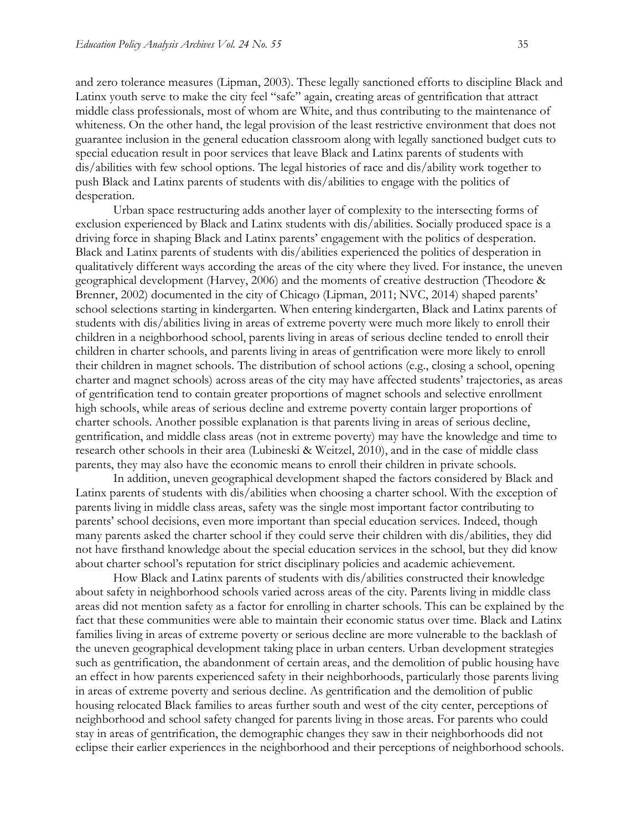and zero tolerance measures (Lipman, 2003). These legally sanctioned efforts to discipline Black and Latinx youth serve to make the city feel "safe" again, creating areas of gentrification that attract middle class professionals, most of whom are White, and thus contributing to the maintenance of whiteness. On the other hand, the legal provision of the least restrictive environment that does not guarantee inclusion in the general education classroom along with legally sanctioned budget cuts to special education result in poor services that leave Black and Latinx parents of students with dis/abilities with few school options. The legal histories of race and dis/ability work together to push Black and Latinx parents of students with dis/abilities to engage with the politics of desperation.

Urban space restructuring adds another layer of complexity to the intersecting forms of exclusion experienced by Black and Latinx students with dis/abilities. Socially produced space is a driving force in shaping Black and Latinx parents' engagement with the politics of desperation. Black and Latinx parents of students with dis/abilities experienced the politics of desperation in qualitatively different ways according the areas of the city where they lived. For instance, the uneven geographical development (Harvey, 2006) and the moments of creative destruction (Theodore & Brenner, 2002) documented in the city of Chicago (Lipman, 2011; NVC, 2014) shaped parents' school selections starting in kindergarten. When entering kindergarten, Black and Latinx parents of students with dis/abilities living in areas of extreme poverty were much more likely to enroll their children in a neighborhood school, parents living in areas of serious decline tended to enroll their children in charter schools, and parents living in areas of gentrification were more likely to enroll their children in magnet schools. The distribution of school actions (e.g., closing a school, opening charter and magnet schools) across areas of the city may have affected students' trajectories, as areas of gentrification tend to contain greater proportions of magnet schools and selective enrollment high schools, while areas of serious decline and extreme poverty contain larger proportions of charter schools. Another possible explanation is that parents living in areas of serious decline, gentrification, and middle class areas (not in extreme poverty) may have the knowledge and time to research other schools in their area (Lubineski & Weitzel, 2010), and in the case of middle class parents, they may also have the economic means to enroll their children in private schools.

In addition, uneven geographical development shaped the factors considered by Black and Latinx parents of students with dis/abilities when choosing a charter school. With the exception of parents living in middle class areas, safety was the single most important factor contributing to parents' school decisions, even more important than special education services. Indeed, though many parents asked the charter school if they could serve their children with dis/abilities, they did not have firsthand knowledge about the special education services in the school, but they did know about charter school's reputation for strict disciplinary policies and academic achievement.

How Black and Latinx parents of students with dis/abilities constructed their knowledge about safety in neighborhood schools varied across areas of the city. Parents living in middle class areas did not mention safety as a factor for enrolling in charter schools. This can be explained by the fact that these communities were able to maintain their economic status over time. Black and Latinx families living in areas of extreme poverty or serious decline are more vulnerable to the backlash of the uneven geographical development taking place in urban centers. Urban development strategies such as gentrification, the abandonment of certain areas, and the demolition of public housing have an effect in how parents experienced safety in their neighborhoods, particularly those parents living in areas of extreme poverty and serious decline. As gentrification and the demolition of public housing relocated Black families to areas further south and west of the city center, perceptions of neighborhood and school safety changed for parents living in those areas. For parents who could stay in areas of gentrification, the demographic changes they saw in their neighborhoods did not eclipse their earlier experiences in the neighborhood and their perceptions of neighborhood schools.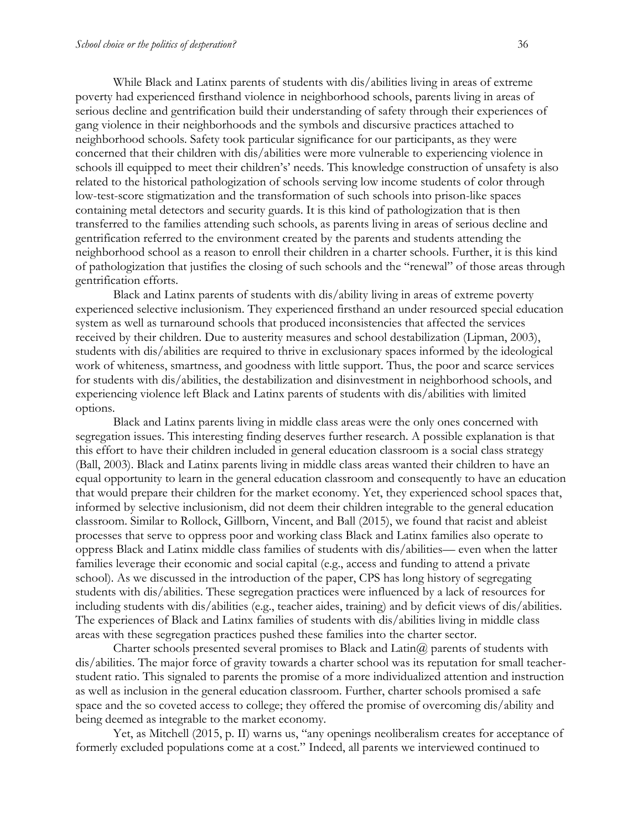While Black and Latinx parents of students with dis/abilities living in areas of extreme poverty had experienced firsthand violence in neighborhood schools, parents living in areas of serious decline and gentrification build their understanding of safety through their experiences of gang violence in their neighborhoods and the symbols and discursive practices attached to neighborhood schools. Safety took particular significance for our participants, as they were concerned that their children with dis/abilities were more vulnerable to experiencing violence in schools ill equipped to meet their children's' needs. This knowledge construction of unsafety is also related to the historical pathologization of schools serving low income students of color through low-test-score stigmatization and the transformation of such schools into prison-like spaces containing metal detectors and security guards. It is this kind of pathologization that is then transferred to the families attending such schools, as parents living in areas of serious decline and gentrification referred to the environment created by the parents and students attending the neighborhood school as a reason to enroll their children in a charter schools. Further, it is this kind of pathologization that justifies the closing of such schools and the "renewal" of those areas through gentrification efforts.

Black and Latinx parents of students with dis/ability living in areas of extreme poverty experienced selective inclusionism. They experienced firsthand an under resourced special education system as well as turnaround schools that produced inconsistencies that affected the services received by their children. Due to austerity measures and school destabilization (Lipman, 2003), students with dis/abilities are required to thrive in exclusionary spaces informed by the ideological work of whiteness, smartness, and goodness with little support. Thus, the poor and scarce services for students with dis/abilities, the destabilization and disinvestment in neighborhood schools, and experiencing violence left Black and Latinx parents of students with dis/abilities with limited options.

Black and Latinx parents living in middle class areas were the only ones concerned with segregation issues. This interesting finding deserves further research. A possible explanation is that this effort to have their children included in general education classroom is a social class strategy (Ball, 2003). Black and Latinx parents living in middle class areas wanted their children to have an equal opportunity to learn in the general education classroom and consequently to have an education that would prepare their children for the market economy. Yet, they experienced school spaces that, informed by selective inclusionism, did not deem their children integrable to the general education classroom. Similar to Rollock, Gillborn, Vincent, and Ball (2015), we found that racist and ableist processes that serve to oppress poor and working class Black and Latinx families also operate to oppress Black and Latinx middle class families of students with dis/abilities— even when the latter families leverage their economic and social capital (e.g., access and funding to attend a private school). As we discussed in the introduction of the paper, CPS has long history of segregating students with dis/abilities. These segregation practices were influenced by a lack of resources for including students with dis/abilities (e.g., teacher aides, training) and by deficit views of dis/abilities. The experiences of Black and Latinx families of students with dis/abilities living in middle class areas with these segregation practices pushed these families into the charter sector.

Charter schools presented several promises to Black and  $\text{Latin}(\hat{a})$  parents of students with dis/abilities. The major force of gravity towards a charter school was its reputation for small teacherstudent ratio. This signaled to parents the promise of a more individualized attention and instruction as well as inclusion in the general education classroom. Further, charter schools promised a safe space and the so coveted access to college; they offered the promise of overcoming dis/ability and being deemed as integrable to the market economy.

Yet, as Mitchell (2015, p. II) warns us, "any openings neoliberalism creates for acceptance of formerly excluded populations come at a cost." Indeed, all parents we interviewed continued to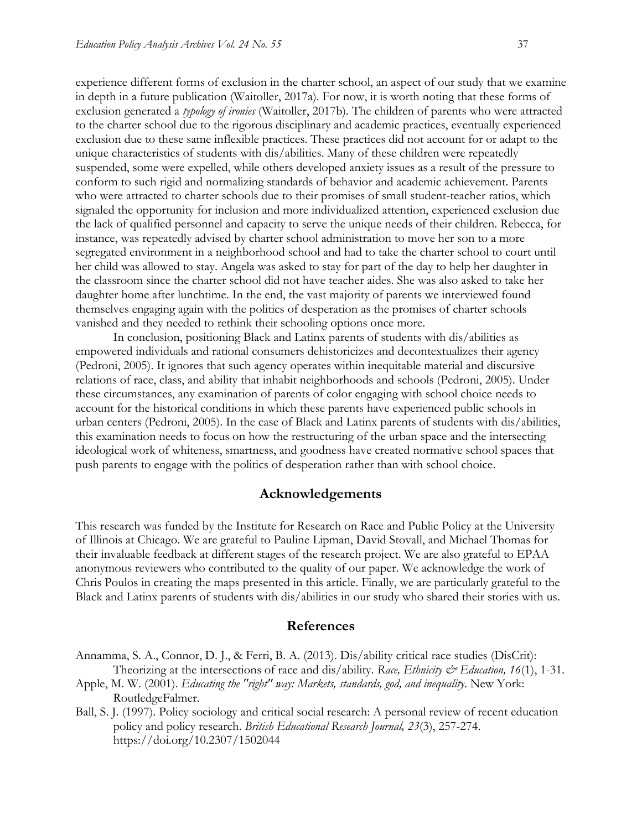experience different forms of exclusion in the charter school, an aspect of our study that we examine in depth in a future publication (Waitoller, 2017a). For now, it is worth noting that these forms of exclusion generated a *typology of ironies* (Waitoller, 2017b)*.* The children of parents who were attracted to the charter school due to the rigorous disciplinary and academic practices, eventually experienced exclusion due to these same inflexible practices. These practices did not account for or adapt to the unique characteristics of students with dis/abilities. Many of these children were repeatedly suspended, some were expelled, while others developed anxiety issues as a result of the pressure to conform to such rigid and normalizing standards of behavior and academic achievement. Parents who were attracted to charter schools due to their promises of small student-teacher ratios, which signaled the opportunity for inclusion and more individualized attention, experienced exclusion due the lack of qualified personnel and capacity to serve the unique needs of their children. Rebecca, for instance, was repeatedly advised by charter school administration to move her son to a more segregated environment in a neighborhood school and had to take the charter school to court until her child was allowed to stay. Angela was asked to stay for part of the day to help her daughter in the classroom since the charter school did not have teacher aides. She was also asked to take her daughter home after lunchtime. In the end, the vast majority of parents we interviewed found themselves engaging again with the politics of desperation as the promises of charter schools vanished and they needed to rethink their schooling options once more.

In conclusion, positioning Black and Latinx parents of students with dis/abilities as empowered individuals and rational consumers dehistoricizes and decontextualizes their agency (Pedroni, 2005). It ignores that such agency operates within inequitable material and discursive relations of race, class, and ability that inhabit neighborhoods and schools (Pedroni, 2005). Under these circumstances, any examination of parents of color engaging with school choice needs to account for the historical conditions in which these parents have experienced public schools in urban centers (Pedroni, 2005). In the case of Black and Latinx parents of students with dis/abilities, this examination needs to focus on how the restructuring of the urban space and the intersecting ideological work of whiteness, smartness, and goodness have created normative school spaces that push parents to engage with the politics of desperation rather than with school choice.

### **Acknowledgements**

This research was funded by the Institute for Research on Race and Public Policy at the University of Illinois at Chicago. We are grateful to Pauline Lipman, David Stovall, and Michael Thomas for their invaluable feedback at different stages of the research project. We are also grateful to EPAA anonymous reviewers who contributed to the quality of our paper. We acknowledge the work of Chris Poulos in creating the maps presented in this article. Finally, we are particularly grateful to the Black and Latinx parents of students with dis/abilities in our study who shared their stories with us.

### **References**

- Annamma, S. A., Connor, D. J., & Ferri, B. A. (2013). Dis/ability critical race studies (DisCrit): Theorizing at the intersections of race and dis/ability. *Race, Ethnicity & Education, 16*(1), 1-31.
- Apple, M. W. (2001). *Educating the "right" way: Markets, standards, god, and inequality*. New York: RoutledgeFalmer.
- Ball, S. J. (1997). Policy sociology and critical social research: A personal review of recent education policy and policy research. *British Educational Research Journal, 23*(3), 257-274. https://doi.org/10.2307/1502044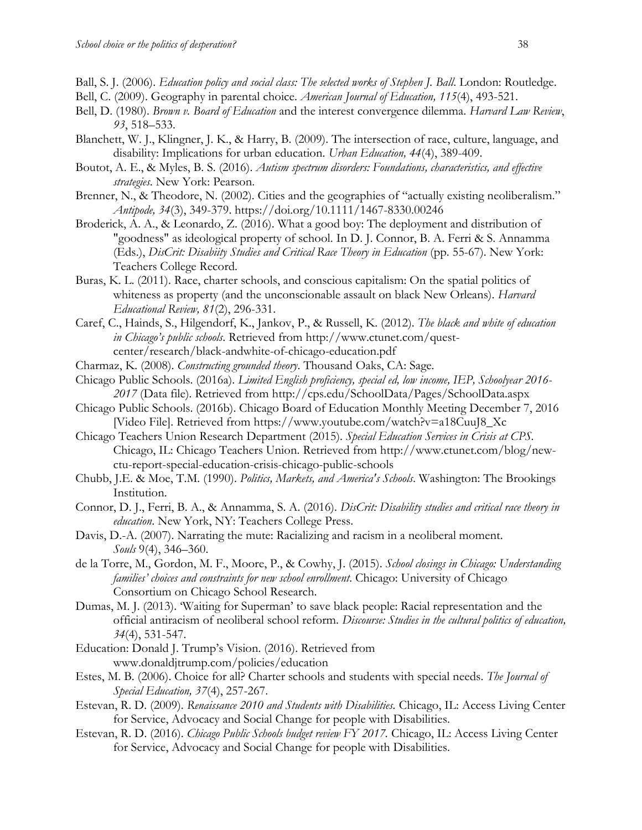- Ball, S. J. (2006). *Education policy and social class: The selected works of Stephen J. Ball*. London: Routledge.
- Bell, C. (2009). Geography in parental choice. *American Journal of Education, 115*(4), 493-521.
- Bell, D. (1980). *Brown v. Board of Education* and the interest convergence dilemma. *Harvard Law Review*, *93*, 518–533.
- Blanchett, W. J., Klingner, J. K., & Harry, B. (2009). The intersection of race, culture, language, and disability: Implications for urban education. *Urban Education, 44*(4), 389-409.
- Boutot, A. E., & Myles, B. S. (2016). *Autism spectrum disorders: Foundations, characteristics, and effective strategies*. New York: Pearson.
- Brenner, N., & Theodore, N. (2002). Cities and the geographies of "actually existing neoliberalism." *Antipode, 34*(3), 349-379. https://doi.org/10.1111/1467-8330.00246
- Broderick, A. A., & Leonardo, Z. (2016). What a good boy: The deployment and distribution of "goodness" as ideological property of school. In D. J. Connor, B. A. Ferri & S. Annamma (Eds.), *DisCrit: Disabiity Studies and Critical Race Theory in Education* (pp. 55-67). New York: Teachers College Record.
- Buras, K. L. (2011). Race, charter schools, and conscious capitalism: On the spatial politics of whiteness as property (and the unconscionable assault on black New Orleans). *Harvard Educational Review, 81*(2), 296-331.
- Caref, C., Hainds, S., Hilgendorf, K., Jankov, P., & Russell, K. (2012). *The black and white of education in Chicago's public schools*. Retrieved from http://www.ctunet.com/questcenter/research/black-andwhite-of-chicago-education.pdf
- Charmaz, K. (2008). *Constructing grounded theory*. Thousand Oaks, CA: Sage.
- Chicago Public Schools. (2016a). *Limited English proficiency, special ed, low income, IEP, Schoolyear 2016- 2017* (Data file)*.* Retrieved from <http://cps.edu/SchoolData/Pages/SchoolData.aspx>
- Chicago Public Schools. (2016b). Chicago Board of Education Monthly Meeting December 7, 2016 [Video File]. Retrieved from https://www.youtube.com/watch?v=a18CuuJ8\_Xc
- Chicago Teachers Union Research Department (2015). *Special Education Services in Crisis at CPS.* Chicago, IL: Chicago Teachers Union. Retrieved from http://www.ctunet.com/blog/newctu-report-special-education-crisis-chicago-public-schools
- Chubb, J.E. & Moe, T.M. (1990). *Politics, Markets, and America's Schools*. Washington: The Brookings Institution.
- Connor, D. J., Ferri, B. A., & Annamma, S. A. (2016). *DisCrit: Disability studies and critical race theory in education*. New York, NY: Teachers College Press.
- Davis, D.-A. (2007). Narrating the mute: Racializing and racism in a neoliberal moment. *Souls* 9(4), 346–360.
- de la Torre, M., Gordon, M. F., Moore, P., & Cowhy, J. (2015). *School closings in Chicago: Understanding families' choices and constraints for new school enrollment*. Chicago: University of Chicago Consortium on Chicago School Research.
- Dumas, M. J. (2013). 'Waiting for Superman' to save black people: Racial representation and the official antiracism of neoliberal school reform. *Discourse: Studies in the cultural politics of education, 34*(4), 531-547.
- Education: Donald J. Trump's Vision. (2016). Retrieved from [www.donaldjtrump.com/policies/education](http://www.donaldjtrump.com/policies/education)
- Estes, M. B. (2006). Choice for all? Charter schools and students with special needs. *The Journal of Special Education, 37*(4), 257-267.
- Estevan, R. D. (2009). *Renaissance 2010 and Students with Disabilities.* Chicago, IL: Access Living Center for Service, Advocacy and Social Change for people with Disabilities.
- Estevan, R. D. (2016). *Chicago Public Schools budget review FY 2017.* Chicago, IL: Access Living Center for Service, Advocacy and Social Change for people with Disabilities.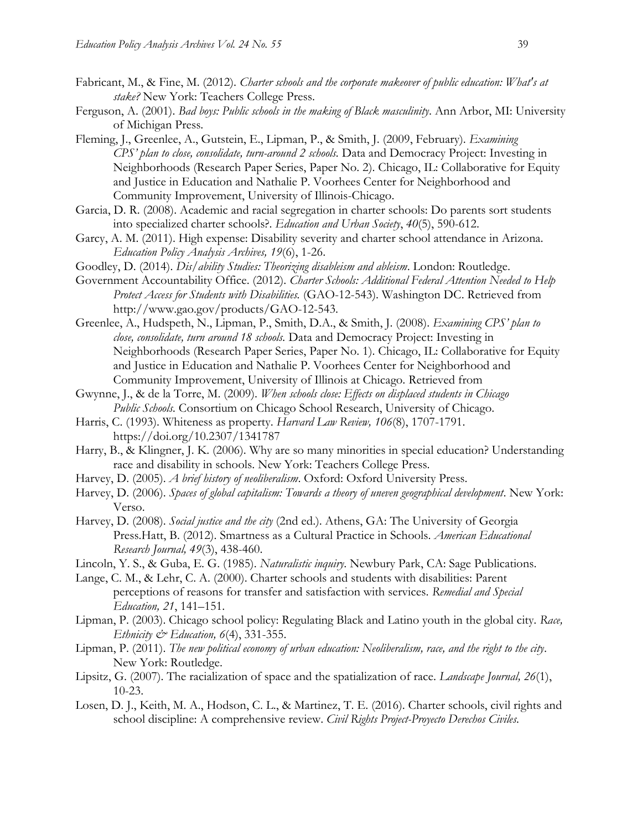- Fabricant, M., & Fine, M. (2012). *Charter schools and the corporate makeover of public education: What's at stake?* New York: Teachers College Press.
- Ferguson, A. (2001). *Bad boys: Public schools in the making of Black masculinity*. Ann Arbor, MI: University of Michigan Press.
- Fleming, J., Greenlee, A., Gutstein, E., Lipman, P., & Smith, J. (2009, February). *Examining CPS' plan to close, consolidate, turn-around 2 schools.* Data and Democracy Project: Investing in Neighborhoods (Research Paper Series, Paper No. 2). Chicago, IL: Collaborative for Equity and Justice in Education and Nathalie P. Voorhees Center for Neighborhood and Community Improvement, University of Illinois-Chicago.
- Garcia, D. R. (2008). Academic and racial segregation in charter schools: Do parents sort students into specialized charter schools?. *Education and Urban Society*, *40*(5), 590-612.
- Garcy, A. M. (2011). High expense: Disability severity and charter school attendance in Arizona. *Education Policy Analysis Archives, 19*(6), 1-26.
- Goodley, D. (2014). *Dis/ability Studies: Theorizing disableism and ableism*. London: Routledge.
- Government Accountability Office. (2012). *Charter Schools: Additional Federal Attention Needed to Help Protect Access for Students with Disabilities.* (GAO-12-543). Washington DC. Retrieved from [http://www.gao.gov/products/GAO-12-543.](http://www.gao.gov/products/GAO-12-543)
- Greenlee, A., Hudspeth, N., Lipman, P., Smith, D.A., & Smith, J. (2008). *Examining CPS' plan to close, consolidate, turn around 18 schools.* Data and Democracy Project: Investing in Neighborhoods (Research Paper Series, Paper No. 1). Chicago, IL: Collaborative for Equity and Justice in Education and Nathalie P. Voorhees Center for Neighborhood and Community Improvement, University of Illinois at Chicago. Retrieved from
- Gwynne, J., & de la Torre, M. (2009). *When schools close: Effects on displaced students in Chicago Public Schools.* Consortium on Chicago School Research, University of Chicago.
- Harris, C. (1993). Whiteness as property. *Harvard Law Review, 106*(8), 1707-1791. https://doi.org/10.2307/1341787
- Harry, B., & Klingner, J. K. (2006). Why are so many minorities in special education? Understanding race and disability in schools. New York: Teachers College Press.
- Harvey, D. (2005). *A brief history of neoliberalism*. Oxford: Oxford University Press.
- Harvey, D. (2006). *Spaces of global capitalism: Towards a theory of uneven geographical development*. New York: Verso.
- Harvey, D. (2008). *Social justice and the city* (2nd ed.). Athens, GA: The University of Georgia Press.Hatt, B. (2012). Smartness as a Cultural Practice in Schools. *American Educational Research Journal, 49*(3), 438-460.
- Lincoln, Y. S., & Guba, E. G. (1985). *Naturalistic inquiry*. Newbury Park, CA: Sage Publications.
- Lange, C. M., & Lehr, C. A. (2000). Charter schools and students with disabilities: Parent perceptions of reasons for transfer and satisfaction with services. *Remedial and Special Education, 21*, 141–151.
- Lipman, P. (2003). Chicago school policy: Regulating Black and Latino youth in the global city. *Race, Ethnicity & Education, 6*(4), 331-355.
- Lipman, P. (2011). *The new political economy of urban education: Neoliberalism, race, and the right to the city*. New York: Routledge.
- Lipsitz, G. (2007). The racialization of space and the spatialization of race. *Landscape Journal, 26*(1), 10-23.
- Losen, D. J., Keith, M. A., Hodson, C. L., & Martinez, T. E. (2016). Charter schools, civil rights and school discipline: A comprehensive review. *Civil Rights Project-Proyecto Derechos Civiles.*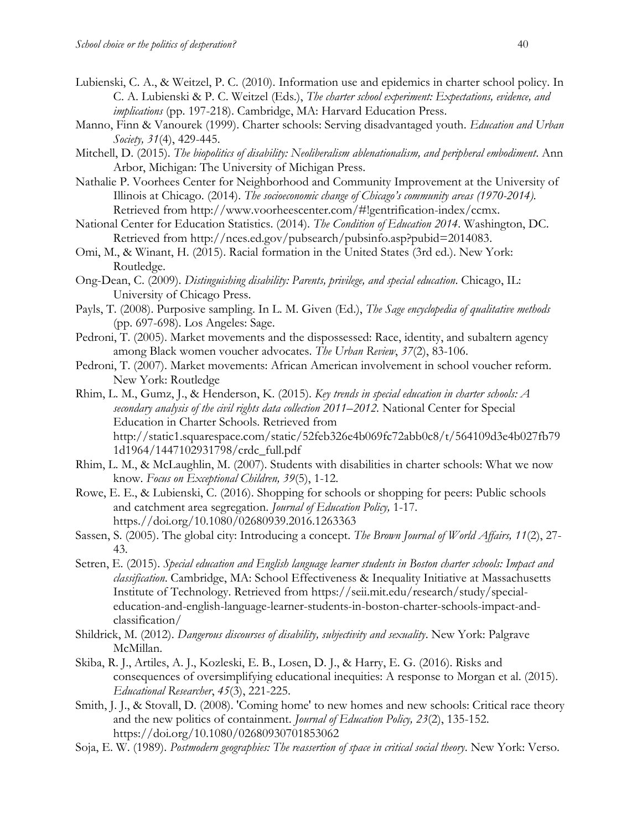- Lubienski, C. A., & Weitzel, P. C. (2010). Information use and epidemics in charter school policy. In C. A. Lubienski & P. C. Weitzel (Eds.), *The charter school experiment: Expectations, evidence, and implications* (pp. 197-218). Cambridge, MA: Harvard Education Press.
- Manno, Finn & Vanourek (1999). Charter schools: Serving disadvantaged youth. *Education and Urban Society, 31*(4), 429-445.
- Mitchell, D. (2015). *The biopolitics of disability: Neoliberalism ablenationalism, and peripheral embodiment*. Ann Arbor, Michigan: The University of Michigan Press.
- Nathalie P. Voorhees Center for Neighborhood and Community Improvement at the University of Illinois at Chicago. (2014). *The socioeconomic change of Chicago's community areas (1970-2014).* Retrieved from [http://www.voorheescenter.com/#!gentrification-index/ccmx.](http://www.voorheescenter.com/#!gentrification-index/ccmx)
- National Center for Education Statistics. (2014). *The Condition of Education 2014*. Washington, DC. Retrieved from [http://nces.ed.gov/pubsearch/pubsinfo.asp?pubid=2014083.](http://nces.ed.gov/pubsearch/pubsinfo.asp?pubid=2014083)
- Omi, M., & Winant, H. (2015). Racial formation in the United States (3rd ed.). New York: Routledge.
- Ong-Dean, C. (2009). *Distinguishing disability: Parents, privilege, and special education*. Chicago, IL: University of Chicago Press.
- Payls, T. (2008). Purposive sampling. In L. M. Given (Ed.), *The Sage encyclopedia of qualitative methods*  (pp. 697-698). Los Angeles: Sage.
- Pedroni, T. (2005). Market movements and the dispossessed: Race, identity, and subaltern agency among Black women voucher advocates. *The Urban Review*, *37*(2), 83-106.
- Pedroni, T. (2007). Market movements: African American involvement in school voucher reform. New York: Routledge
- Rhim, L. M., Gumz, J., & Henderson, K. (2015). *Key trends in special education in charter schools: A secondary analysis of the civil rights data collection 2011–2012.* National Center for Special Education in Charter Schools. Retrieved from [http://static1.squarespace.com/static/52feb326e4b069fc72abb0c8/t/564109d3e4b027fb79](http://static1.squarespace.com/static/52feb326e4b069fc72abb0c8/t/564109d3e4b027fb791d1964/1447102931798/crdc_full.pdf) [1d1964/1447102931798/crdc\\_full.pdf](http://static1.squarespace.com/static/52feb326e4b069fc72abb0c8/t/564109d3e4b027fb791d1964/1447102931798/crdc_full.pdf)
- Rhim, L. M., & McLaughlin, M. (2007). Students with disabilities in charter schools: What we now know. *Focus on Exceptional Children, 39*(5), 1-12.
- Rowe, E. E., & Lubienski, C. (2016). Shopping for schools or shopping for peers: Public schools and catchment area segregation. *Journal of Education Policy,* 1-17. https.//doi.org/10.1080/02680939.2016.1263363
- Sassen, S. (2005). The global city: Introducing a concept. *The Brown Journal of World Affairs, 11*(2), 27- 43.
- Setren, E. (2015). *Special education and English language learner students in Boston charter schools: Impact and classification*. Cambridge, MA: School Effectiveness & Inequality Initiative at Massachusetts Institute of Technology. Retrieved from https://seii.mit.edu/research/study/specialeducation-and-english-language-learner-students-in-boston-charter-schools-impact-andclassification/
- Shildrick, M. (2012). *Dangerous discourses of disability, subjectivity and sexuality*. New York: Palgrave McMillan.
- Skiba, R. J., Artiles, A. J., Kozleski, E. B., Losen, D. J., & Harry, E. G. (2016). Risks and consequences of oversimplifying educational inequities: A response to Morgan et al. (2015). *Educational Researcher*, *45*(3), 221-225.
- Smith, J. J., & Stovall, D. (2008). 'Coming home' to new homes and new schools: Critical race theory and the new politics of containment. *Journal of Education Policy, 23*(2), 135-152. https://doi.org/10.1080/02680930701853062
- Soja, E. W. (1989). *Postmodern geographies: The reassertion of space in critical social theory*. New York: Verso.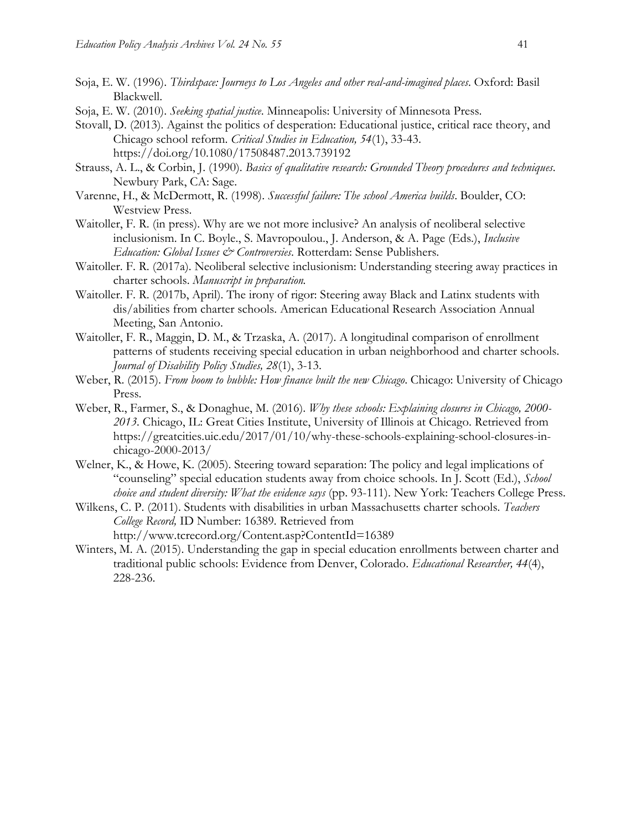- Soja, E. W. (1996). *Thirdspace: Journeys to Los Angeles and other real-and-imagined places*. Oxford: Basil Blackwell.
- Soja, E. W. (2010). *Seeking spatial justice*. Minneapolis: University of Minnesota Press.
- Stovall, D. (2013). Against the politics of desperation: Educational justice, critical race theory, and Chicago school reform. *Critical Studies in Education, 54*(1), 33-43. https://doi.org/10.1080/17508487.2013.739192
- Strauss, A. L., & Corbin, J. (1990). *Basics of qualitative research: Grounded Theory procedures and techniques*. Newbury Park, CA: Sage.
- Varenne, H., & McDermott, R. (1998). *Successful failure: The school America builds*. Boulder, CO: Westview Press.
- Waitoller, F. R. (in press). Why are we not more inclusive? An analysis of neoliberal selective inclusionism. In C. Boyle., S. Mavropoulou., J. Anderson, & A. Page (Eds.), *Inclusive Education: Global Issues & Controversies*. Rotterdam: Sense Publishers.
- Waitoller. F. R. (2017a). Neoliberal selective inclusionism: Understanding steering away practices in charter schools. *Manuscript in preparation.*
- Waitoller. F. R. (2017b, April). The irony of rigor: Steering away Black and Latinx students with dis/abilities from charter schools. American Educational Research Association Annual Meeting, San Antonio.
- Waitoller, F. R., Maggin, D. M., & Trzaska, A. (2017). A longitudinal comparison of enrollment patterns of students receiving special education in urban neighborhood and charter schools. *Journal of Disability Policy Studies, 28*(1), 3-13.
- Weber, R. (2015). *From boom to bubble: How finance built the new Chicago*. Chicago: University of Chicago Press.
- Weber, R., Farmer, S., & Donaghue, M. (2016). *Why these schools: Explaining closures in Chicago, 2000- 2013.* Chicago, IL: Great Cities Institute, University of Illinois at Chicago. Retrieved from [https://greatcities.uic.edu/2017/01/10/why-these-schools-explaining-school-closures-in](https://greatcities.uic.edu/2017/01/10/why-these-schools-explaining-school-closures-in-)chicago-2000-2013/
- Welner, K., & Howe, K. (2005). Steering toward separation: The policy and legal implications of "counseling" special education students away from choice schools. In J. Scott (Ed.), *School choice and student diversity: What the evidence says* (pp. 93-111). New York: Teachers College Press.
- Wilkens, C. P. (2011). Students with disabilities in urban Massachusetts charter schools. *Teachers College Record,* ID Number: 16389*.* Retrieved from <http://www.tcrecord.org/Content.asp?ContentId=16389>
- Winters, M. A. (2015). Understanding the gap in special education enrollments between charter and traditional public schools: Evidence from Denver, Colorado. *Educational Researcher, 44*(4), 228-236.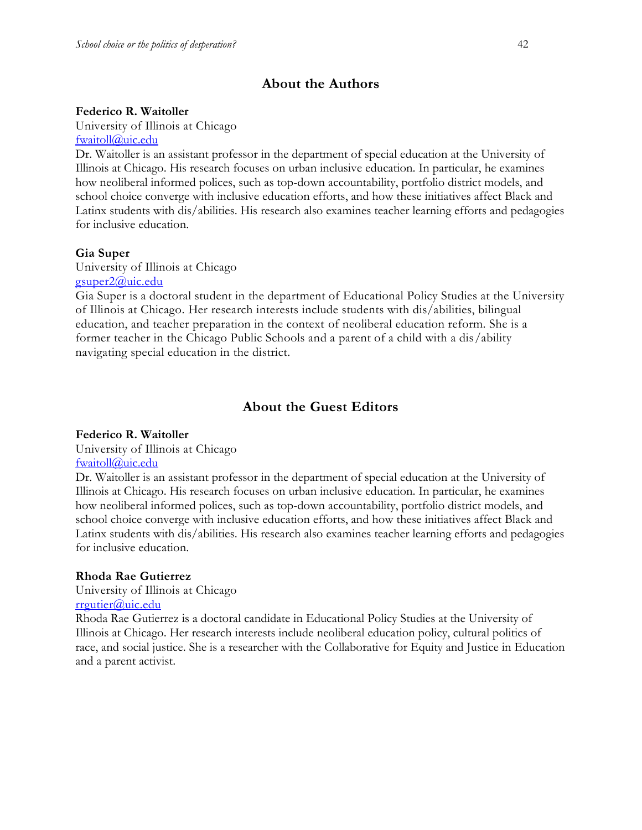# **About the Authors**

## **Federico R. Waitoller**

University of Illinois at Chicago [fwaitoll@uic.edu](mailto:fwaitoll@uic.edu)

Dr. Waitoller is an assistant professor in the department of special education at the University of Illinois at Chicago. His research focuses on urban inclusive education. In particular, he examines how neoliberal informed polices, such as top-down accountability, portfolio district models, and school choice converge with inclusive education efforts, and how these initiatives affect Black and Latinx students with dis/abilities. His research also examines teacher learning efforts and pedagogies for inclusive education.

# **Gia Super**

University of Illinois at Chicago [gsuper2@uic.edu](mailto:gsuper2@uic.edu)

Gia Super is a doctoral student in the department of Educational Policy Studies at the University of Illinois at Chicago. Her research interests include students with dis/abilities, bilingual education, and teacher preparation in the context of neoliberal education reform. She is a former teacher in the Chicago Public Schools and a parent of a child with a dis/ability navigating special education in the district.

# **About the Guest Editors**

### **Federico R. Waitoller**

University of Illinois at Chicago [fwaitoll@uic.edu](mailto:fwaitoll@uic.edu)

Dr. Waitoller is an assistant professor in the department of special education at the University of Illinois at Chicago. His research focuses on urban inclusive education. In particular, he examines how neoliberal informed polices, such as top-down accountability, portfolio district models, and school choice converge with inclusive education efforts, and how these initiatives affect Black and Latinx students with dis/abilities. His research also examines teacher learning efforts and pedagogies for inclusive education.

# **Rhoda Rae Gutierrez**

University of Illinois at Chicago

[rrgutier@uic.edu](mailto:rrgutier@uic.edu)

Rhoda Rae Gutierrez is a doctoral candidate in Educational Policy Studies at the University of Illinois at Chicago. Her research interests include neoliberal education policy, cultural politics of race, and social justice. She is a researcher with the Collaborative for Equity and Justice in Education and a parent activist.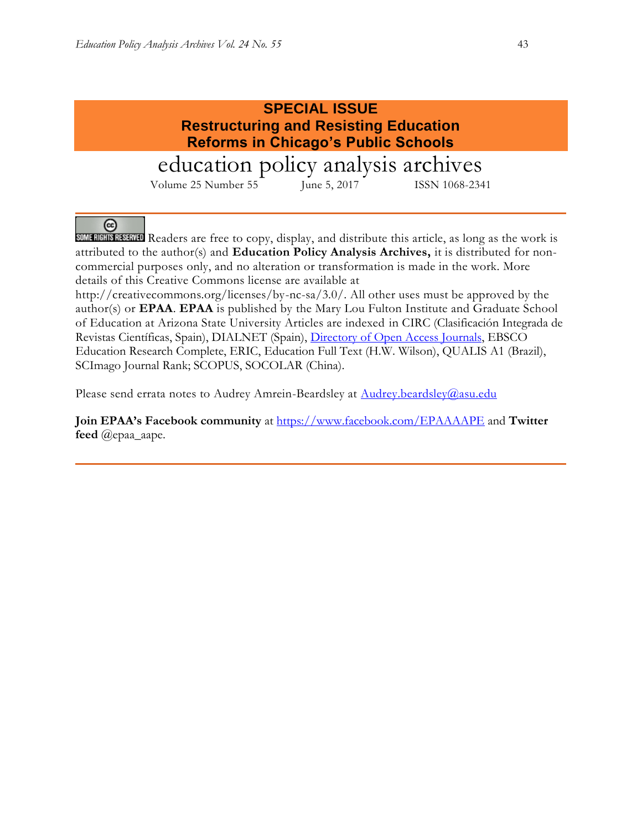(တ



SOME RIGHTS RESERVED Readers are free to copy, display, and distribute this article, as long as the work is attributed to the author(s) and **Education Policy Analysis Archives,** it is distributed for noncommercial purposes only, and no alteration or transformation is made in the work. More details of this Creative Commons license are available at

http://creativecommons.org/licenses/by-nc-sa/3.0/. All other uses must be approved by the author(s) or **EPAA**. **EPAA** is published by the Mary Lou Fulton Institute and Graduate School of Education at Arizona State University Articles are indexed in CIRC (Clasificación Integrada de Revistas Científicas, Spain), DIALNET (Spain), [Directory of Open Access](http://www.doaj.org/) Journals, EBSCO Education Research Complete, ERIC, Education Full Text (H.W. Wilson), QUALIS A1 (Brazil), SCImago Journal Rank; SCOPUS, SOCOLAR (China).

Please send errata notes to Audrey Amrein-Beardsley at [Audrey.beardsley@asu.edu](mailto:Audrey.beardsley@asu.edu)

**Join EPAA's Facebook community** at<https://www.facebook.com/EPAAAAPE> and **Twitter feed** @epaa\_aape.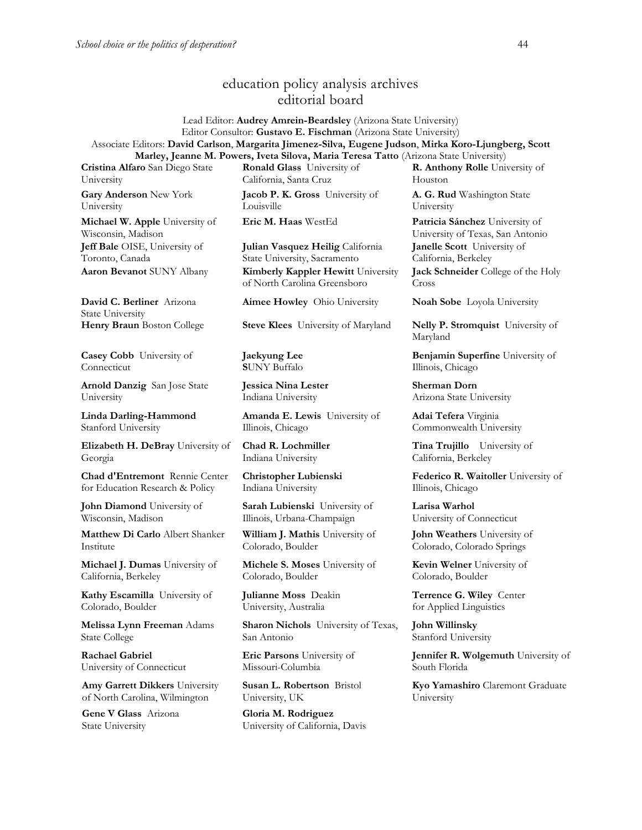# education policy analysis archives editorial board

Lead Editor: **Audrey Amrein-Beardsley** (Arizona State University) Editor Consultor: **Gustavo E. Fischman** (Arizona State University) Associate Editors: **David Carlson**, **Margarita Jimenez-Silva, Eugene Judson**, **Mirka Koro-Ljungberg, Scott Marley, Jeanne M. Powers, Iveta Silova, Maria Teresa Tatto** (Arizona State University)

**Cristina Alfaro** San Diego State University

**Gary Anderson** New York University

**Michael W. Apple** University of Wisconsin, Madison **Jeff Bale** OISE, University of Toronto, Canada **Aaron Bevanot** SUNY Albany **Kimberly Kappler Hewitt** University

**David C. Berliner** Arizona State University

**Casey Cobb** University of Connecticut

**Arnold Danzig** San Jose State University

**Linda Darling-Hammond**  Stanford University

**Elizabeth H. DeBray** University of Georgia

**Chad d'Entremont** Rennie Center for Education Research & Policy

**John Diamond** University of Wisconsin, Madison

**Matthew Di Carlo** Albert Shanker Institute

**Michael J. Dumas** University of California, Berkeley

**Kathy Escamilla** University of Colorado, Boulder

**Melissa Lynn Freeman** Adams State College

**Rachael Gabriel** University of Connecticut

**Amy Garrett Dikkers** University of North Carolina, Wilmington

**Gene V Glass** Arizona State University

**Ronald Glass** University of California, Santa Cruz

**Jacob P. K. Gross** University of Louisville

**Julian Vasquez Heilig** California State University, Sacramento

of North Carolina Greensboro

**Aimee Howley** Ohio University **Noah Sobe** Loyola University

**Henry Braun** Boston College **Steve Klees** University of Maryland **Nelly P. Stromquist** University of

**Jaekyung Lee S**UNY Buffalo

**Jessica Nina Lester** Indiana University

**Amanda E. Lewis** University of Illinois, Chicago

**Chad R. Lochmiller**  Indiana University

**Christopher Lubienski**  Indiana University

**Sarah Lubienski** University of Illinois, Urbana-Champaign

**William J. Mathis** University of Colorado, Boulder

**Michele S. Moses** University of Colorado, Boulder

**Julianne Moss** Deakin University, Australia

**Sharon Nichols** University of Texas, San Antonio

**Eric Parsons** University of Missouri-Columbia

**Susan L. Robertson** Bristol University, UK

**Gloria M. Rodriguez** University of California, Davis **R. Anthony Rolle** University of Houston

**A. G. Rud** Washington State University

**Eric M. Haas** WestEd **Patricia Sánchez** University of University of Texas, San Antonio **Janelle Scott** University of California, Berkeley **Jack Schneider** College of the Holy

Cross

Maryland

**Benjamin Superfine** University of Illinois, Chicago

**Sherman Dorn** Arizona State University

**Adai Tefera** Virginia Commonwealth University

**Tina Trujillo** University of California, Berkeley

**Federico R. Waitoller** University of Illinois, Chicago

**Larisa Warhol** University of Connecticut

**John Weathers** University of Colorado, Colorado Springs

**Kevin Welner** University of Colorado, Boulder

**Terrence G. Wiley** Center for Applied Linguistics

**John Willinsky**  Stanford University

**Jennifer R. Wolgemuth** University of South Florida

**Kyo Yamashiro** Claremont Graduate University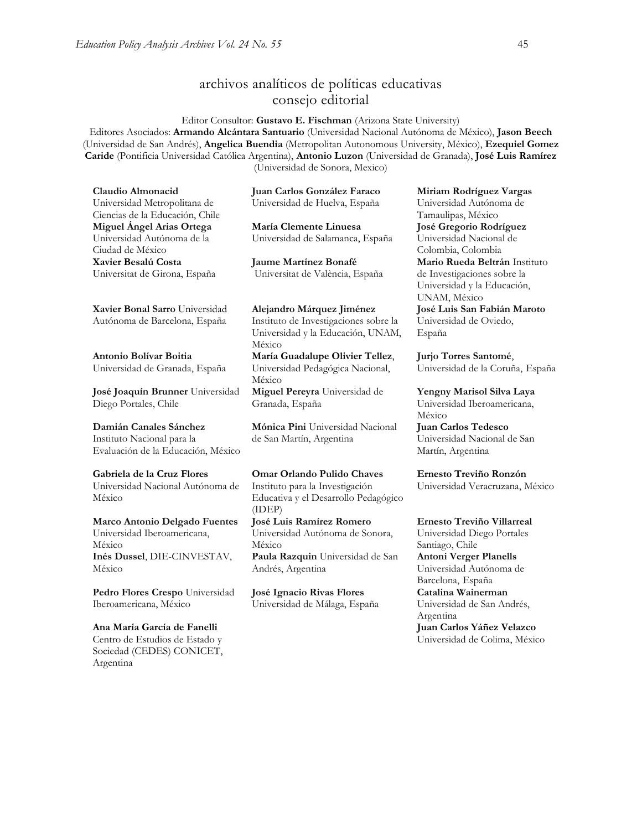# archivos analíticos de políticas educativas consejo editorial

Editor Consultor: **Gustavo E. Fischman** (Arizona State University) Editores Asociados: **Armando Alcántara Santuario** (Universidad Nacional Autónoma de México), **Jason Beech** (Universidad de San Andrés), **Angelica Buendia** (Metropolitan Autonomous University, México), **Ezequiel Gomez Caride** (Pontificia Universidad Católica Argentina), **Antonio Luzon** (Universidad de Granada), **José Luis Ramírez** (Universidad de Sonora, Mexico)

**Claudio Almonacid** Universidad Metropolitana de Ciencias de la Educación, Chile **Miguel Ángel Arias Ortega**  Universidad Autónoma de la Ciudad de México **Xavier Besalú Costa**  Universitat de Girona, España

**[Xavier Bonal](javascript:openRTWindow() Sarro** Universidad Autónoma de Barcelona, España

**[Antonio Bolívar](javascript:openRTWindow() Boitia** Universidad de Granada, España

**[José Joaquín Brunner](javascript:openRTWindow()** Universidad Diego Portales, Chile

#### **[Damián Canales Sánchez](javascript:openRTWindow()**

Instituto Nacional para la Evaluación de la Educación, México

#### **Gabriela de la Cruz Flores** Universidad Nacional Autónoma de

México

#### **[Marco Antonio Delgado Fuentes](javascript:openRTWindow()** Universidad Iberoamericana, México **[Inés Dussel](javascript:openRTWindow()**, DIE-CINVESTAV, México

**[Pedro Flores Crespo](javascript:openRTWindow()** Universidad Iberoamericana, México

**Ana María García de Fanelli**  Centro de Estudios de Estado y Sociedad (CEDES) CONICET, Argentina

**Juan Carlos González Faraco**  Universidad de Huelva, España

**María Clemente Linuesa**  Universidad de Salamanca, España

**Jaume Martínez Bonafé** Universitat de València, España

**Alejandro Márquez Jiménez**  Instituto de Investigaciones sobre la Universidad y la Educación, UNAM, México

**María Guadalupe Olivier Tellez**, Universidad Pedagógica Nacional, México **[Miguel Pereyra](javascript:openRTWindow()** Universidad de Granada, España

**[Mónica Pini](javascript:openRTWindow()** Universidad Nacional de San Martín, Argentina

**Omar Orlando Pulido Chaves** Instituto para la Investigación Educativa y el Desarrollo Pedagógico (IDEP) **[José Luis Ramírez](javascript:openRTWindow() Romero** Universidad Autónoma de Sonora,

México **[Paula Razquin](javascript:openRTWindow()** Universidad de San Andrés, Argentina

**José Ignacio Rivas Flores** Universidad de Málaga, España **[Miriam Rodríguez Vargas](javascript:openRTWindow()** Universidad Autónoma de Tamaulipas, México **José Gregorio Rodríguez**  Universidad Nacional de Colombia, Colombia **[Mario Rueda Beltrán](javascript:openRTWindow()** Instituto de Investigaciones sobre la Universidad y la Educación, UNAM, México **José Luis San Fabián Maroto**  Universidad de Oviedo, España

**[Jurjo Torres Santomé](javascript:openRTWindow()**, Universidad de la Coruña, España

**[Yengny Marisol Silva Laya](javascript:openRTWindow()** Universidad Iberoamericana, México **Juan Carlos Tedesco** Universidad Nacional de San Martín, Argentina

#### **Ernesto Treviño Ronzón**

Universidad Veracruzana, México

**[Ernesto Treviño](javascript:openRTWindow() Villarreal**

Universidad Diego Portales Santiago, Chile **[Antoni Verger Planells](javascript:openRTWindow()** Universidad Autónoma de Barcelona, España **[Catalina Wainerman](javascript:openRTWindow()** Universidad de San Andrés, Argentina **Juan Carlos Yáñez Velazco**

Universidad de Colima, México